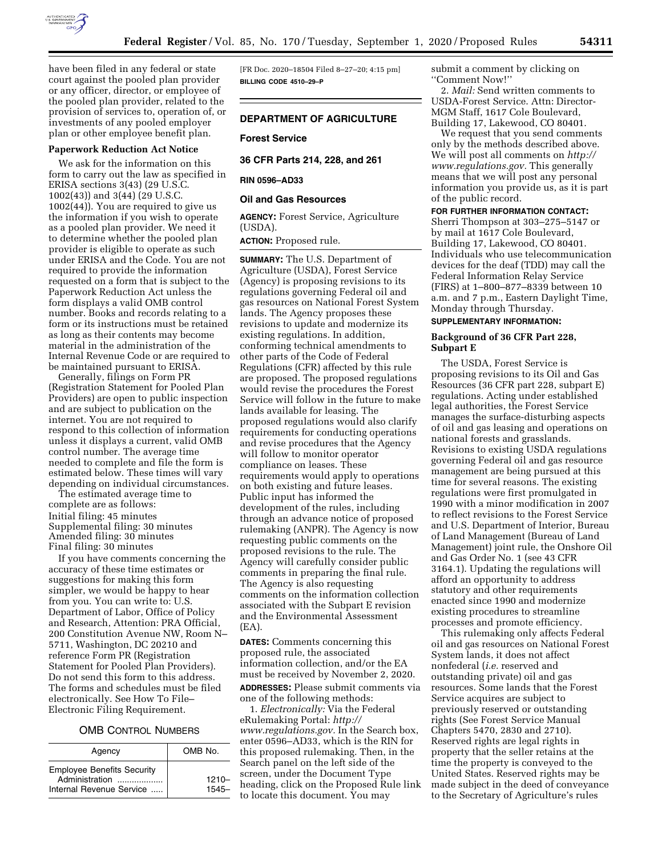

have been filed in any federal or state court against the pooled plan provider or any officer, director, or employee of the pooled plan provider, related to the provision of services to, operation of, or investments of any pooled employer plan or other employee benefit plan.

#### **Paperwork Reduction Act Notice**

We ask for the information on this form to carry out the law as specified in ERISA sections 3(43) (29 U.S.C. 1002(43)) and 3(44) (29 U.S.C. 1002(44)). You are required to give us the information if you wish to operate as a pooled plan provider. We need it to determine whether the pooled plan provider is eligible to operate as such under ERISA and the Code. You are not required to provide the information requested on a form that is subject to the Paperwork Reduction Act unless the form displays a valid OMB control number. Books and records relating to a form or its instructions must be retained as long as their contents may become material in the administration of the Internal Revenue Code or are required to be maintained pursuant to ERISA.

Generally, filings on Form PR (Registration Statement for Pooled Plan Providers) are open to public inspection and are subject to publication on the internet. You are not required to respond to this collection of information unless it displays a current, valid OMB control number. The average time needed to complete and file the form is estimated below. These times will vary depending on individual circumstances.

The estimated average time to complete are as follows: Initial filing: 45 minutes Supplemental filing: 30 minutes Amended filing: 30 minutes Final filing: 30 minutes

If you have comments concerning the accuracy of these time estimates or suggestions for making this form simpler, we would be happy to hear from you. You can write to: U.S. Department of Labor, Office of Policy and Research, Attention: PRA Official, 200 Constitution Avenue NW, Room N– 5711, Washington, DC 20210 and reference Form PR (Registration Statement for Pooled Plan Providers). Do not send this form to this address. The forms and schedules must be filed electronically. See How To File– Electronic Filing Requirement.

### OMB CONTROL NUMBERS

| Agency                                                                          | OMB No.           |
|---------------------------------------------------------------------------------|-------------------|
| <b>Employee Benefits Security</b><br>Administration<br>Internal Revenue Service | $1210 -$<br>1545- |

[FR Doc. 2020–18504 Filed 8–27–20; 4:15 pm] **BILLING CODE 4510–29–P** 

#### **DEPARTMENT OF AGRICULTURE**

#### **Forest Service**

**36 CFR Parts 214, 228, and 261** 

#### **RIN 0596–AD33**

#### **Oil and Gas Resources**

**AGENCY:** Forest Service, Agriculture (USDA).

**ACTION:** Proposed rule.

**SUMMARY:** The U.S. Department of Agriculture (USDA), Forest Service (Agency) is proposing revisions to its regulations governing Federal oil and gas resources on National Forest System lands. The Agency proposes these revisions to update and modernize its existing regulations. In addition, conforming technical amendments to other parts of the Code of Federal Regulations (CFR) affected by this rule are proposed. The proposed regulations would revise the procedures the Forest Service will follow in the future to make lands available for leasing. The proposed regulations would also clarify requirements for conducting operations and revise procedures that the Agency will follow to monitor operator compliance on leases. These requirements would apply to operations on both existing and future leases. Public input has informed the development of the rules, including through an advance notice of proposed rulemaking (ANPR). The Agency is now requesting public comments on the proposed revisions to the rule. The Agency will carefully consider public comments in preparing the final rule. The Agency is also requesting comments on the information collection associated with the Subpart E revision and the Environmental Assessment (EA).

**DATES:** Comments concerning this proposed rule, the associated information collection, and/or the EA must be received by November 2, 2020.

**ADDRESSES:** Please submit comments via one of the following methods:

1. *Electronically:* Via the Federal eRulemaking Portal: *http:// www.regulations.gov.* In the Search box, enter 0596–AD33, which is the RIN for this proposed rulemaking. Then, in the Search panel on the left side of the screen, under the Document Type heading, click on the Proposed Rule link to locate this document. You may

submit a comment by clicking on ''Comment Now!''

2. *Mail:* Send written comments to USDA-Forest Service. Attn: Director-MGM Staff, 1617 Cole Boulevard, Building 17, Lakewood, CO 80401.

We request that you send comments only by the methods described above. We will post all comments on *http:// www.regulations.gov.* This generally means that we will post any personal information you provide us, as it is part of the public record.

### **FOR FURTHER INFORMATION CONTACT:**

Sherri Thompson at 303–275–5147 or by mail at 1617 Cole Boulevard, Building 17, Lakewood, CO 80401. Individuals who use telecommunication devices for the deaf (TDD) may call the Federal Information Relay Service (FIRS) at 1–800–877–8339 between 10 a.m. and 7 p.m., Eastern Daylight Time, Monday through Thursday.

## **SUPPLEMENTARY INFORMATION:**

## **Background of 36 CFR Part 228, Subpart E**

The USDA, Forest Service is proposing revisions to its Oil and Gas Resources (36 CFR part 228, subpart E) regulations. Acting under established legal authorities, the Forest Service manages the surface-disturbing aspects of oil and gas leasing and operations on national forests and grasslands. Revisions to existing USDA regulations governing Federal oil and gas resource management are being pursued at this time for several reasons. The existing regulations were first promulgated in 1990 with a minor modification in 2007 to reflect revisions to the Forest Service and U.S. Department of Interior, Bureau of Land Management (Bureau of Land Management) joint rule, the Onshore Oil and Gas Order No. 1 (see 43 CFR 3164.1). Updating the regulations will afford an opportunity to address statutory and other requirements enacted since 1990 and modernize existing procedures to streamline processes and promote efficiency.

This rulemaking only affects Federal oil and gas resources on National Forest System lands, it does not affect nonfederal (*i.e.* reserved and outstanding private) oil and gas resources. Some lands that the Forest Service acquires are subject to previously reserved or outstanding rights (See Forest Service Manual Chapters 5470, 2830 and 2710). Reserved rights are legal rights in property that the seller retains at the time the property is conveyed to the United States. Reserved rights may be made subject in the deed of conveyance to the Secretary of Agriculture's rules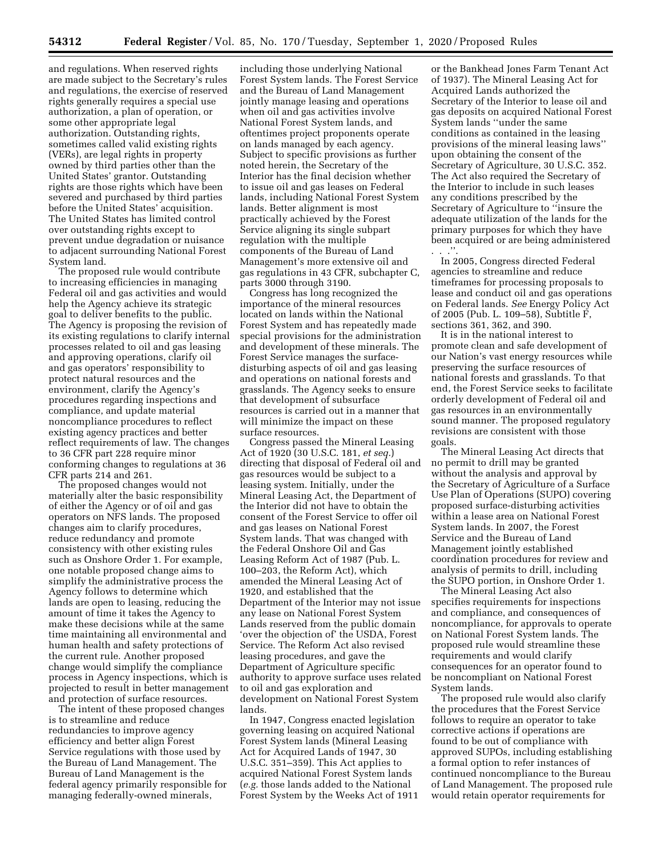and regulations. When reserved rights are made subject to the Secretary's rules and regulations, the exercise of reserved rights generally requires a special use authorization, a plan of operation, or some other appropriate legal authorization. Outstanding rights, sometimes called valid existing rights (VERs), are legal rights in property owned by third parties other than the United States' grantor. Outstanding rights are those rights which have been severed and purchased by third parties before the United States' acquisition. The United States has limited control over outstanding rights except to prevent undue degradation or nuisance to adjacent surrounding National Forest System land.

The proposed rule would contribute to increasing efficiencies in managing Federal oil and gas activities and would help the Agency achieve its strategic goal to deliver benefits to the public. The Agency is proposing the revision of its existing regulations to clarify internal processes related to oil and gas leasing and approving operations, clarify oil and gas operators' responsibility to protect natural resources and the environment, clarify the Agency's procedures regarding inspections and compliance, and update material noncompliance procedures to reflect existing agency practices and better reflect requirements of law. The changes to 36 CFR part 228 require minor conforming changes to regulations at 36 CFR parts 214 and 261.

The proposed changes would not materially alter the basic responsibility of either the Agency or of oil and gas operators on NFS lands. The proposed changes aim to clarify procedures, reduce redundancy and promote consistency with other existing rules such as Onshore Order 1. For example, one notable proposed change aims to simplify the administrative process the Agency follows to determine which lands are open to leasing, reducing the amount of time it takes the Agency to make these decisions while at the same time maintaining all environmental and human health and safety protections of the current rule. Another proposed change would simplify the compliance process in Agency inspections, which is projected to result in better management and protection of surface resources.

The intent of these proposed changes is to streamline and reduce redundancies to improve agency efficiency and better align Forest Service regulations with those used by the Bureau of Land Management. The Bureau of Land Management is the federal agency primarily responsible for managing federally-owned minerals,

including those underlying National Forest System lands. The Forest Service and the Bureau of Land Management jointly manage leasing and operations when oil and gas activities involve National Forest System lands, and oftentimes project proponents operate on lands managed by each agency. Subject to specific provisions as further noted herein, the Secretary of the Interior has the final decision whether to issue oil and gas leases on Federal lands, including National Forest System lands. Better alignment is most practically achieved by the Forest Service aligning its single subpart regulation with the multiple components of the Bureau of Land Management's more extensive oil and gas regulations in 43 CFR, subchapter C, parts 3000 through 3190.

Congress has long recognized the importance of the mineral resources located on lands within the National Forest System and has repeatedly made special provisions for the administration and development of these minerals. The Forest Service manages the surfacedisturbing aspects of oil and gas leasing and operations on national forests and grasslands. The Agency seeks to ensure that development of subsurface resources is carried out in a manner that will minimize the impact on these surface resources.

Congress passed the Mineral Leasing Act of 1920 (30 U.S.C. 181, *et seq.*) directing that disposal of Federal oil and gas resources would be subject to a leasing system. Initially, under the Mineral Leasing Act, the Department of the Interior did not have to obtain the consent of the Forest Service to offer oil and gas leases on National Forest System lands. That was changed with the Federal Onshore Oil and Gas Leasing Reform Act of 1987 (Pub. L. 100–203, the Reform Act), which amended the Mineral Leasing Act of 1920, and established that the Department of the Interior may not issue any lease on National Forest System Lands reserved from the public domain 'over the objection of' the USDA, Forest Service. The Reform Act also revised leasing procedures, and gave the Department of Agriculture specific authority to approve surface uses related to oil and gas exploration and development on National Forest System lands.

In 1947, Congress enacted legislation governing leasing on acquired National Forest System lands (Mineral Leasing Act for Acquired Lands of 1947, 30 U.S.C. 351–359). This Act applies to acquired National Forest System lands (*e.g.* those lands added to the National Forest System by the Weeks Act of 1911

or the Bankhead Jones Farm Tenant Act of 1937). The Mineral Leasing Act for Acquired Lands authorized the Secretary of the Interior to lease oil and gas deposits on acquired National Forest System lands ''under the same conditions as contained in the leasing provisions of the mineral leasing laws'' upon obtaining the consent of the Secretary of Agriculture, 30 U.S.C. 352. The Act also required the Secretary of the Interior to include in such leases any conditions prescribed by the Secretary of Agriculture to ''insure the adequate utilization of the lands for the primary purposes for which they have been acquired or are being administered . . .''.

In 2005, Congress directed Federal agencies to streamline and reduce timeframes for processing proposals to lease and conduct oil and gas operations on Federal lands. *See* Energy Policy Act of 2005 (Pub. L. 109–58), Subtitle F, sections 361, 362, and 390.

It is in the national interest to promote clean and safe development of our Nation's vast energy resources while preserving the surface resources of national forests and grasslands. To that end, the Forest Service seeks to facilitate orderly development of Federal oil and gas resources in an environmentally sound manner. The proposed regulatory revisions are consistent with those goals.

The Mineral Leasing Act directs that no permit to drill may be granted without the analysis and approval by the Secretary of Agriculture of a Surface Use Plan of Operations (SUPO) covering proposed surface-disturbing activities within a lease area on National Forest System lands. In 2007, the Forest Service and the Bureau of Land Management jointly established coordination procedures for review and analysis of permits to drill, including the SUPO portion, in Onshore Order 1.

The Mineral Leasing Act also specifies requirements for inspections and compliance, and consequences of noncompliance, for approvals to operate on National Forest System lands. The proposed rule would streamline these requirements and would clarify consequences for an operator found to be noncompliant on National Forest System lands.

The proposed rule would also clarify the procedures that the Forest Service follows to require an operator to take corrective actions if operations are found to be out of compliance with approved SUPOs, including establishing a formal option to refer instances of continued noncompliance to the Bureau of Land Management. The proposed rule would retain operator requirements for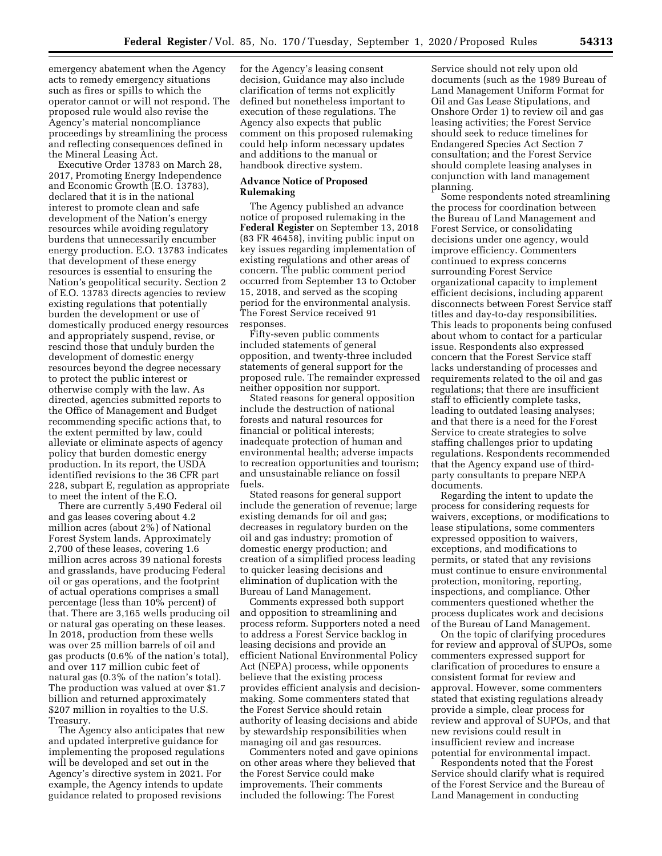emergency abatement when the Agency acts to remedy emergency situations such as fires or spills to which the operator cannot or will not respond. The proposed rule would also revise the Agency's material noncompliance proceedings by streamlining the process and reflecting consequences defined in the Mineral Leasing Act.

Executive Order 13783 on March 28, 2017, Promoting Energy Independence and Economic Growth (E.O. 13783), declared that it is in the national interest to promote clean and safe development of the Nation's energy resources while avoiding regulatory burdens that unnecessarily encumber energy production. E.O. 13783 indicates that development of these energy resources is essential to ensuring the Nation's geopolitical security. Section 2 of E.O. 13783 directs agencies to review existing regulations that potentially burden the development or use of domestically produced energy resources and appropriately suspend, revise, or rescind those that unduly burden the development of domestic energy resources beyond the degree necessary to protect the public interest or otherwise comply with the law. As directed, agencies submitted reports to the Office of Management and Budget recommending specific actions that, to the extent permitted by law, could alleviate or eliminate aspects of agency policy that burden domestic energy production. In its report, the USDA identified revisions to the 36 CFR part 228, subpart E, regulation as appropriate to meet the intent of the E.O.

There are currently 5,490 Federal oil and gas leases covering about 4.2 million acres (about 2%) of National Forest System lands. Approximately 2,700 of these leases, covering 1.6 million acres across 39 national forests and grasslands, have producing Federal oil or gas operations, and the footprint of actual operations comprises a small percentage (less than 10% percent) of that. There are 3,165 wells producing oil or natural gas operating on these leases. In 2018, production from these wells was over 25 million barrels of oil and gas products (0.6% of the nation's total), and over 117 million cubic feet of natural gas (0.3% of the nation's total). The production was valued at over \$1.7 billion and returned approximately \$207 million in royalties to the U.S. Treasury.

The Agency also anticipates that new and updated interpretive guidance for implementing the proposed regulations will be developed and set out in the Agency's directive system in 2021. For example, the Agency intends to update guidance related to proposed revisions

for the Agency's leasing consent decision, Guidance may also include clarification of terms not explicitly defined but nonetheless important to execution of these regulations. The Agency also expects that public comment on this proposed rulemaking could help inform necessary updates and additions to the manual or handbook directive system.

#### **Advance Notice of Proposed Rulemaking**

The Agency published an advance notice of proposed rulemaking in the **Federal Register** on September 13, 2018 (83 FR 46458), inviting public input on key issues regarding implementation of existing regulations and other areas of concern. The public comment period occurred from September 13 to October 15, 2018, and served as the scoping period for the environmental analysis. The Forest Service received 91 responses.

Fifty-seven public comments included statements of general opposition, and twenty-three included statements of general support for the proposed rule. The remainder expressed neither opposition nor support.

Stated reasons for general opposition include the destruction of national forests and natural resources for financial or political interests; inadequate protection of human and environmental health; adverse impacts to recreation opportunities and tourism; and unsustainable reliance on fossil fuels.

Stated reasons for general support include the generation of revenue; large existing demands for oil and gas; decreases in regulatory burden on the oil and gas industry; promotion of domestic energy production; and creation of a simplified process leading to quicker leasing decisions and elimination of duplication with the Bureau of Land Management.

Comments expressed both support and opposition to streamlining and process reform. Supporters noted a need to address a Forest Service backlog in leasing decisions and provide an efficient National Environmental Policy Act (NEPA) process, while opponents believe that the existing process provides efficient analysis and decisionmaking. Some commenters stated that the Forest Service should retain authority of leasing decisions and abide by stewardship responsibilities when managing oil and gas resources.

Commenters noted and gave opinions on other areas where they believed that the Forest Service could make improvements. Their comments included the following: The Forest

Service should not rely upon old documents (such as the 1989 Bureau of Land Management Uniform Format for Oil and Gas Lease Stipulations, and Onshore Order 1) to review oil and gas leasing activities; the Forest Service should seek to reduce timelines for Endangered Species Act Section 7 consultation; and the Forest Service should complete leasing analyses in conjunction with land management planning.

Some respondents noted streamlining the process for coordination between the Bureau of Land Management and Forest Service, or consolidating decisions under one agency, would improve efficiency. Commenters continued to express concerns surrounding Forest Service organizational capacity to implement efficient decisions, including apparent disconnects between Forest Service staff titles and day-to-day responsibilities. This leads to proponents being confused about whom to contact for a particular issue. Respondents also expressed concern that the Forest Service staff lacks understanding of processes and requirements related to the oil and gas regulations; that there are insufficient staff to efficiently complete tasks, leading to outdated leasing analyses; and that there is a need for the Forest Service to create strategies to solve staffing challenges prior to updating regulations. Respondents recommended that the Agency expand use of thirdparty consultants to prepare NEPA documents.

Regarding the intent to update the process for considering requests for waivers, exceptions, or modifications to lease stipulations, some commenters expressed opposition to waivers, exceptions, and modifications to permits, or stated that any revisions must continue to ensure environmental protection, monitoring, reporting, inspections, and compliance. Other commenters questioned whether the process duplicates work and decisions of the Bureau of Land Management.

On the topic of clarifying procedures for review and approval of SUPOs, some commenters expressed support for clarification of procedures to ensure a consistent format for review and approval. However, some commenters stated that existing regulations already provide a simple, clear process for review and approval of SUPOs, and that new revisions could result in insufficient review and increase potential for environmental impact.

Respondents noted that the Forest Service should clarify what is required of the Forest Service and the Bureau of Land Management in conducting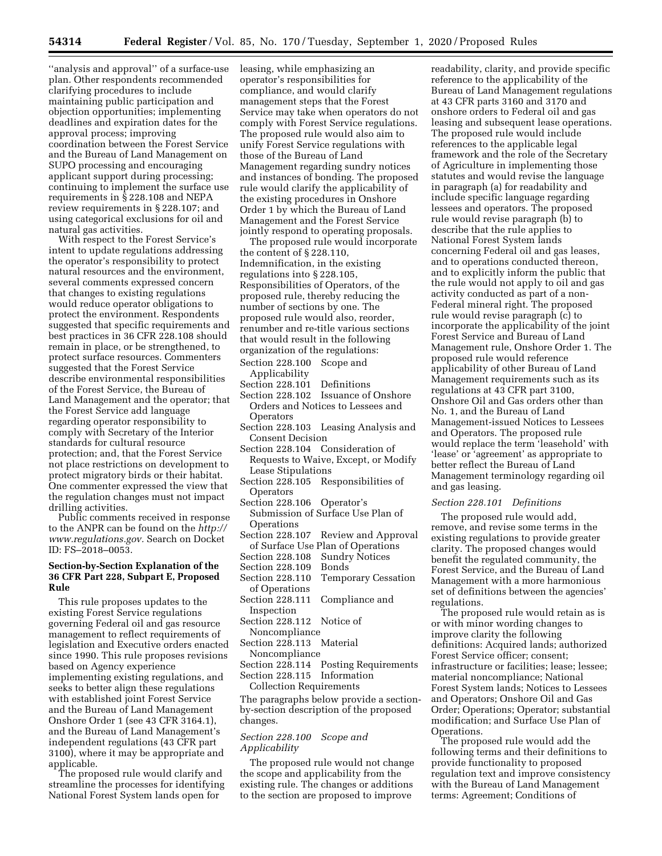''analysis and approval'' of a surface-use plan. Other respondents recommended clarifying procedures to include maintaining public participation and objection opportunities; implementing deadlines and expiration dates for the approval process; improving coordination between the Forest Service and the Bureau of Land Management on SUPO processing and encouraging applicant support during processing; continuing to implement the surface use requirements in § 228.108 and NEPA review requirements in § 228.107; and using categorical exclusions for oil and natural gas activities.

With respect to the Forest Service's intent to update regulations addressing the operator's responsibility to protect natural resources and the environment, several comments expressed concern that changes to existing regulations would reduce operator obligations to protect the environment. Respondents suggested that specific requirements and best practices in 36 CFR 228.108 should remain in place, or be strengthened, to protect surface resources. Commenters suggested that the Forest Service describe environmental responsibilities of the Forest Service, the Bureau of Land Management and the operator; that the Forest Service add language regarding operator responsibility to comply with Secretary of the Interior standards for cultural resource protection; and, that the Forest Service not place restrictions on development to protect migratory birds or their habitat. One commenter expressed the view that the regulation changes must not impact drilling activities.

Public comments received in response to the ANPR can be found on the *http:// www.regulations.gov.* Search on Docket ID: FS–2018–0053.

## **Section-by-Section Explanation of the 36 CFR Part 228, Subpart E, Proposed Rule**

This rule proposes updates to the existing Forest Service regulations governing Federal oil and gas resource management to reflect requirements of legislation and Executive orders enacted since 1990. This rule proposes revisions based on Agency experience implementing existing regulations, and seeks to better align these regulations with established joint Forest Service and the Bureau of Land Management Onshore Order 1 (see 43 CFR 3164.1), and the Bureau of Land Management's independent regulations (43 CFR part 3100), where it may be appropriate and applicable.

The proposed rule would clarify and streamline the processes for identifying National Forest System lands open for

leasing, while emphasizing an operator's responsibilities for compliance, and would clarify management steps that the Forest Service may take when operators do not comply with Forest Service regulations. The proposed rule would also aim to unify Forest Service regulations with those of the Bureau of Land Management regarding sundry notices and instances of bonding. The proposed rule would clarify the applicability of the existing procedures in Onshore Order 1 by which the Bureau of Land Management and the Forest Service jointly respond to operating proposals.

The proposed rule would incorporate the content of § 228.110, Indemnification, in the existing regulations into § 228.105, Responsibilities of Operators, of the proposed rule, thereby reducing the number of sections by one. The proposed rule would also, reorder, renumber and re-title various sections that would result in the following organization of the regulations:

# Section 228.100 Scope and

- Applicability
- Section 228.101 Definitions
- Section 228.102 Issuance of Onshore Orders and Notices to Lessees and **Operators**
- Section 228.103 Leasing Analysis and Consent Decision
- Section 228.104 Consideration of Requests to Waive, Except, or Modify Lease Stipulations
- Section 228.105 Responsibilities of **Operators**
- Section 228.106 Operator's Submission of Surface Use Plan of **Operations**
- Section 228.107 Review and Approval of Surface Use Plan of Operations
- Section 228.108 Sundry Notices
- Section 228.109 Bonds
- Section 228.110 Temporary Cessation of Operations
- Section 228.111 Compliance and Inspection
- Section 228.112 Notice of Noncompliance
- Section 228.113 Material
- Noncompliance
- Section 228.114 Posting Requirements
- Section 228.115 Information Collection Requirements

The paragraphs below provide a sectionby-section description of the proposed changes.

## *Section 228.100 Scope and Applicability*

The proposed rule would not change the scope and applicability from the existing rule. The changes or additions to the section are proposed to improve

readability, clarity, and provide specific reference to the applicability of the Bureau of Land Management regulations at 43 CFR parts 3160 and 3170 and onshore orders to Federal oil and gas leasing and subsequent lease operations. The proposed rule would include references to the applicable legal framework and the role of the Secretary of Agriculture in implementing those statutes and would revise the language in paragraph (a) for readability and include specific language regarding lessees and operators. The proposed rule would revise paragraph (b) to describe that the rule applies to National Forest System lands concerning Federal oil and gas leases, and to operations conducted thereon, and to explicitly inform the public that the rule would not apply to oil and gas activity conducted as part of a non-Federal mineral right. The proposed rule would revise paragraph (c) to incorporate the applicability of the joint Forest Service and Bureau of Land Management rule, Onshore Order 1. The proposed rule would reference applicability of other Bureau of Land Management requirements such as its regulations at 43 CFR part 3100, Onshore Oil and Gas orders other than No. 1, and the Bureau of Land Management-issued Notices to Lessees and Operators. The proposed rule would replace the term 'leasehold' with 'lease' or 'agreement' as appropriate to better reflect the Bureau of Land Management terminology regarding oil and gas leasing.

## *Section 228.101 Definitions*

The proposed rule would add, remove, and revise some terms in the existing regulations to provide greater clarity. The proposed changes would benefit the regulated community, the Forest Service, and the Bureau of Land Management with a more harmonious set of definitions between the agencies' regulations.

The proposed rule would retain as is or with minor wording changes to improve clarity the following definitions: Acquired lands; authorized Forest Service officer; consent; infrastructure or facilities; lease; lessee; material noncompliance; National Forest System lands; Notices to Lessees and Operators; Onshore Oil and Gas Order; Operations; Operator; substantial modification; and Surface Use Plan of Operations.

The proposed rule would add the following terms and their definitions to provide functionality to proposed regulation text and improve consistency with the Bureau of Land Management terms: Agreement; Conditions of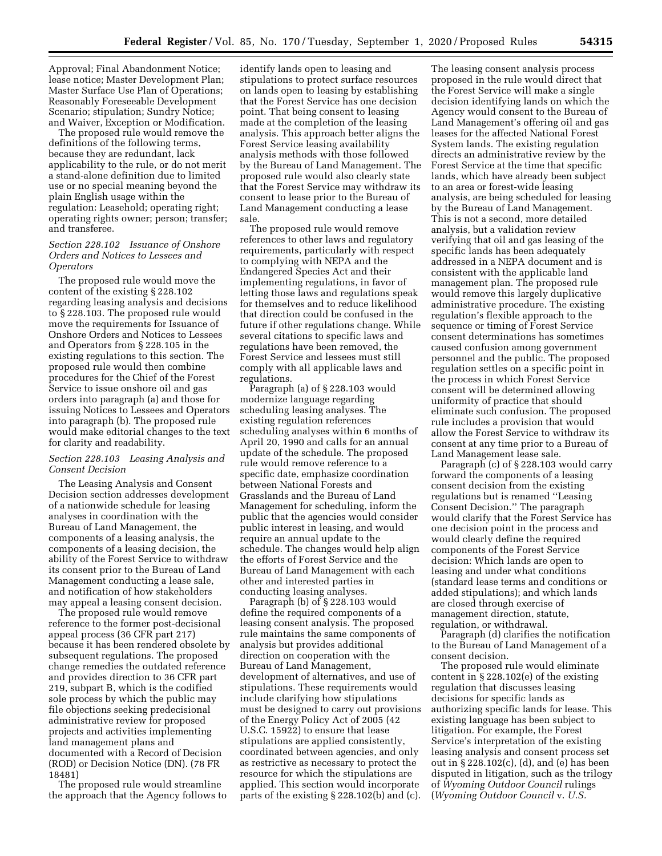Approval; Final Abandonment Notice; lease notice; Master Development Plan; Master Surface Use Plan of Operations; Reasonably Foreseeable Development Scenario; stipulation; Sundry Notice; and Waiver, Exception or Modification.

The proposed rule would remove the definitions of the following terms, because they are redundant, lack applicability to the rule, or do not merit a stand-alone definition due to limited use or no special meaning beyond the plain English usage within the regulation: Leasehold; operating right; operating rights owner; person; transfer; and transferee.

### *Section 228.102 Issuance of Onshore Orders and Notices to Lessees and Operators*

The proposed rule would move the content of the existing § 228.102 regarding leasing analysis and decisions to § 228.103. The proposed rule would move the requirements for Issuance of Onshore Orders and Notices to Lessees and Operators from § 228.105 in the existing regulations to this section. The proposed rule would then combine procedures for the Chief of the Forest Service to issue onshore oil and gas orders into paragraph (a) and those for issuing Notices to Lessees and Operators into paragraph (b). The proposed rule would make editorial changes to the text for clarity and readability.

### *Section 228.103 Leasing Analysis and Consent Decision*

The Leasing Analysis and Consent Decision section addresses development of a nationwide schedule for leasing analyses in coordination with the Bureau of Land Management, the components of a leasing analysis, the components of a leasing decision, the ability of the Forest Service to withdraw its consent prior to the Bureau of Land Management conducting a lease sale, and notification of how stakeholders may appeal a leasing consent decision.

The proposed rule would remove reference to the former post-decisional appeal process (36 CFR part 217) because it has been rendered obsolete by subsequent regulations. The proposed change remedies the outdated reference and provides direction to 36 CFR part 219, subpart B, which is the codified sole process by which the public may file objections seeking predecisional administrative review for proposed projects and activities implementing land management plans and documented with a Record of Decision (ROD) or Decision Notice (DN). (78 FR 18481)

The proposed rule would streamline the approach that the Agency follows to

identify lands open to leasing and stipulations to protect surface resources on lands open to leasing by establishing that the Forest Service has one decision point. That being consent to leasing made at the completion of the leasing analysis. This approach better aligns the Forest Service leasing availability analysis methods with those followed by the Bureau of Land Management. The proposed rule would also clearly state that the Forest Service may withdraw its consent to lease prior to the Bureau of Land Management conducting a lease sale.

The proposed rule would remove references to other laws and regulatory requirements, particularly with respect to complying with NEPA and the Endangered Species Act and their implementing regulations, in favor of letting those laws and regulations speak for themselves and to reduce likelihood that direction could be confused in the future if other regulations change. While several citations to specific laws and regulations have been removed, the Forest Service and lessees must still comply with all applicable laws and regulations.

Paragraph (a) of § 228.103 would modernize language regarding scheduling leasing analyses. The existing regulation references scheduling analyses within 6 months of April 20, 1990 and calls for an annual update of the schedule. The proposed rule would remove reference to a specific date, emphasize coordination between National Forests and Grasslands and the Bureau of Land Management for scheduling, inform the public that the agencies would consider public interest in leasing, and would require an annual update to the schedule. The changes would help align the efforts of Forest Service and the Bureau of Land Management with each other and interested parties in conducting leasing analyses.

Paragraph (b) of § 228.103 would define the required components of a leasing consent analysis. The proposed rule maintains the same components of analysis but provides additional direction on cooperation with the Bureau of Land Management, development of alternatives, and use of stipulations. These requirements would include clarifying how stipulations must be designed to carry out provisions of the Energy Policy Act of 2005 (42 U.S.C. 15922) to ensure that lease stipulations are applied consistently, coordinated between agencies, and only as restrictive as necessary to protect the resource for which the stipulations are applied. This section would incorporate parts of the existing § 228.102(b) and (c).

The leasing consent analysis process proposed in the rule would direct that the Forest Service will make a single decision identifying lands on which the Agency would consent to the Bureau of Land Management's offering oil and gas leases for the affected National Forest System lands. The existing regulation directs an administrative review by the Forest Service at the time that specific lands, which have already been subject to an area or forest-wide leasing analysis, are being scheduled for leasing by the Bureau of Land Management. This is not a second, more detailed analysis, but a validation review verifying that oil and gas leasing of the specific lands has been adequately addressed in a NEPA document and is consistent with the applicable land management plan. The proposed rule would remove this largely duplicative administrative procedure. The existing regulation's flexible approach to the sequence or timing of Forest Service consent determinations has sometimes caused confusion among government personnel and the public. The proposed regulation settles on a specific point in the process in which Forest Service consent will be determined allowing uniformity of practice that should eliminate such confusion. The proposed rule includes a provision that would allow the Forest Service to withdraw its consent at any time prior to a Bureau of Land Management lease sale.

Paragraph (c) of § 228.103 would carry forward the components of a leasing consent decision from the existing regulations but is renamed ''Leasing Consent Decision.'' The paragraph would clarify that the Forest Service has one decision point in the process and would clearly define the required components of the Forest Service decision: Which lands are open to leasing and under what conditions (standard lease terms and conditions or added stipulations); and which lands are closed through exercise of management direction, statute, regulation, or withdrawal.

Paragraph (d) clarifies the notification to the Bureau of Land Management of a consent decision.

The proposed rule would eliminate content in § 228.102(e) of the existing regulation that discusses leasing decisions for specific lands as authorizing specific lands for lease. This existing language has been subject to litigation. For example, the Forest Service's interpretation of the existing leasing analysis and consent process set out in § 228.102(c), (d), and (e) has been disputed in litigation, such as the trilogy of *Wyoming Outdoor Council* rulings (*Wyoming Outdoor Council* v. *U.S.*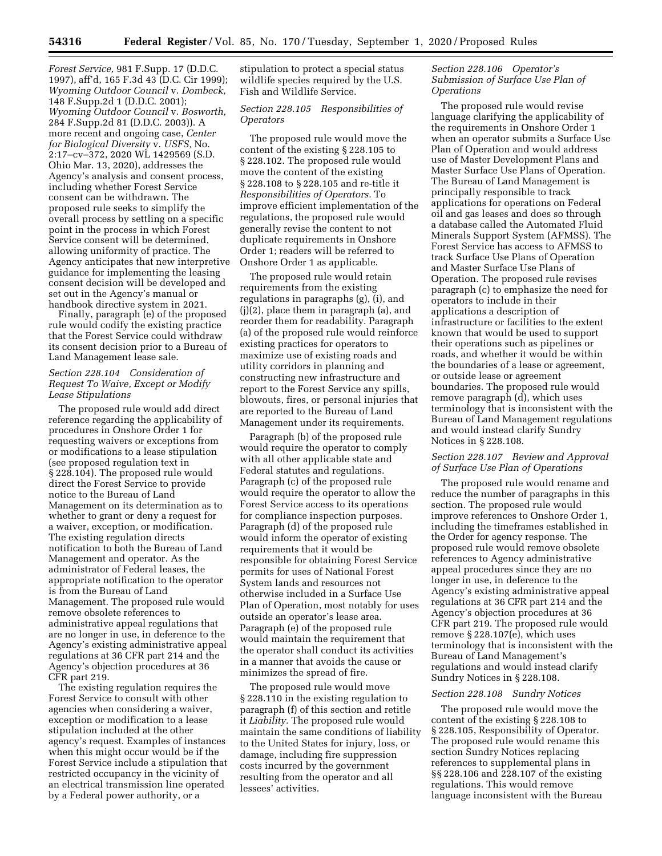*Forest Service,* 981 F.Supp. 17 (D.D.C. 1997), aff'd, 165 F.3d 43 (D.C. Cir 1999); *Wyoming Outdoor Council* v. *Dombeck,*  148 F.Supp.2d 1 (D.D.C. 2001); *Wyoming Outdoor Council* v. *Bosworth,*  284 F.Supp.2d 81 (D.D.C. 2003)). A more recent and ongoing case, *Center for Biological Diversity* v. *USFS,* No. 2:17–cv–372, 2020 WL 1429569 (S.D. Ohio Mar. 13, 2020), addresses the Agency's analysis and consent process, including whether Forest Service consent can be withdrawn. The proposed rule seeks to simplify the overall process by settling on a specific point in the process in which Forest Service consent will be determined, allowing uniformity of practice. The Agency anticipates that new interpretive guidance for implementing the leasing consent decision will be developed and set out in the Agency's manual or handbook directive system in 2021.

Finally, paragraph (e) of the proposed rule would codify the existing practice that the Forest Service could withdraw its consent decision prior to a Bureau of Land Management lease sale.

### *Section 228.104 Consideration of Request To Waive, Except or Modify Lease Stipulations*

The proposed rule would add direct reference regarding the applicability of procedures in Onshore Order 1 for requesting waivers or exceptions from or modifications to a lease stipulation (see proposed regulation text in § 228.104). The proposed rule would direct the Forest Service to provide notice to the Bureau of Land Management on its determination as to whether to grant or deny a request for a waiver, exception, or modification. The existing regulation directs notification to both the Bureau of Land Management and operator. As the administrator of Federal leases, the appropriate notification to the operator is from the Bureau of Land Management. The proposed rule would remove obsolete references to administrative appeal regulations that are no longer in use, in deference to the Agency's existing administrative appeal regulations at 36 CFR part 214 and the Agency's objection procedures at 36 CFR part 219.

The existing regulation requires the Forest Service to consult with other agencies when considering a waiver, exception or modification to a lease stipulation included at the other agency's request. Examples of instances when this might occur would be if the Forest Service include a stipulation that restricted occupancy in the vicinity of an electrical transmission line operated by a Federal power authority, or a

stipulation to protect a special status wildlife species required by the U.S. Fish and Wildlife Service.

### *Section 228.105 Responsibilities of Operators*

The proposed rule would move the content of the existing § 228.105 to § 228.102. The proposed rule would move the content of the existing § 228.108 to § 228.105 and re-title it *Responsibilities of Operators.* To improve efficient implementation of the regulations, the proposed rule would generally revise the content to not duplicate requirements in Onshore Order 1; readers will be referred to Onshore Order 1 as applicable.

The proposed rule would retain requirements from the existing regulations in paragraphs (g), (i), and (j)(2), place them in paragraph (a), and reorder them for readability. Paragraph (a) of the proposed rule would reinforce existing practices for operators to maximize use of existing roads and utility corridors in planning and constructing new infrastructure and report to the Forest Service any spills, blowouts, fires, or personal injuries that are reported to the Bureau of Land Management under its requirements.

Paragraph (b) of the proposed rule would require the operator to comply with all other applicable state and Federal statutes and regulations. Paragraph (c) of the proposed rule would require the operator to allow the Forest Service access to its operations for compliance inspection purposes. Paragraph (d) of the proposed rule would inform the operator of existing requirements that it would be responsible for obtaining Forest Service permits for uses of National Forest System lands and resources not otherwise included in a Surface Use Plan of Operation, most notably for uses outside an operator's lease area. Paragraph (e) of the proposed rule would maintain the requirement that the operator shall conduct its activities in a manner that avoids the cause or minimizes the spread of fire.

The proposed rule would move § 228.110 in the existing regulation to paragraph (f) of this section and retitle it *Liability.* The proposed rule would maintain the same conditions of liability to the United States for injury, loss, or damage, including fire suppression costs incurred by the government resulting from the operator and all lessees' activities.

## *Section 228.106 Operator's Submission of Surface Use Plan of Operations*

The proposed rule would revise language clarifying the applicability of the requirements in Onshore Order 1 when an operator submits a Surface Use Plan of Operation and would address use of Master Development Plans and Master Surface Use Plans of Operation. The Bureau of Land Management is principally responsible to track applications for operations on Federal oil and gas leases and does so through a database called the Automated Fluid Minerals Support System (AFMSS). The Forest Service has access to AFMSS to track Surface Use Plans of Operation and Master Surface Use Plans of Operation. The proposed rule revises paragraph (c) to emphasize the need for operators to include in their applications a description of infrastructure or facilities to the extent known that would be used to support their operations such as pipelines or roads, and whether it would be within the boundaries of a lease or agreement, or outside lease or agreement boundaries. The proposed rule would remove paragraph (d), which uses terminology that is inconsistent with the Bureau of Land Management regulations and would instead clarify Sundry Notices in § 228.108.

## *Section 228.107 Review and Approval of Surface Use Plan of Operations*

The proposed rule would rename and reduce the number of paragraphs in this section. The proposed rule would improve references to Onshore Order 1, including the timeframes established in the Order for agency response. The proposed rule would remove obsolete references to Agency administrative appeal procedures since they are no longer in use, in deference to the Agency's existing administrative appeal regulations at 36 CFR part 214 and the Agency's objection procedures at 36 CFR part 219. The proposed rule would remove § 228.107(e), which uses terminology that is inconsistent with the Bureau of Land Management's regulations and would instead clarify Sundry Notices in § 228.108.

## *Section 228.108 Sundry Notices*

The proposed rule would move the content of the existing § 228.108 to § 228.105, Responsibility of Operator. The proposed rule would rename this section Sundry Notices replacing references to supplemental plans in §§ 228.106 and 228.107 of the existing regulations. This would remove language inconsistent with the Bureau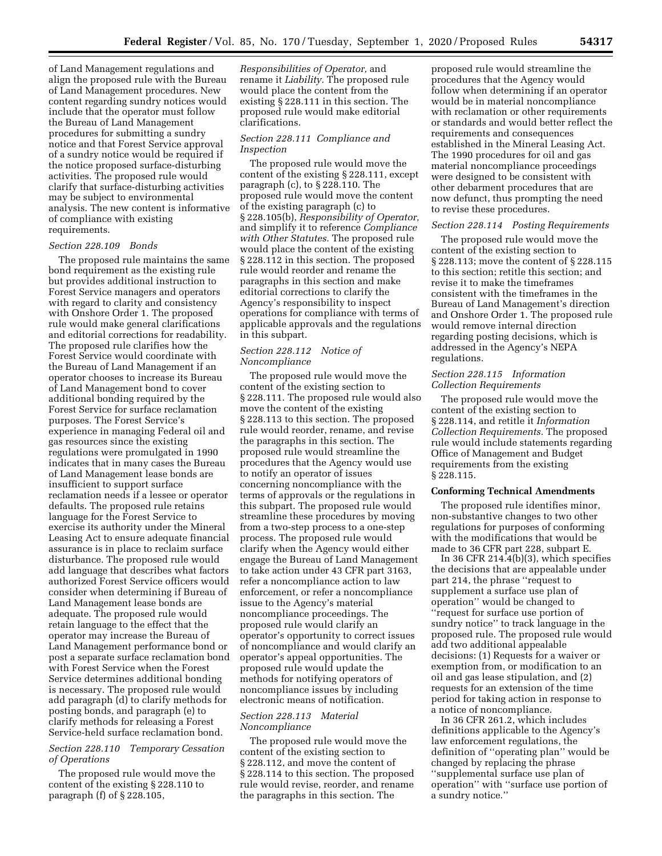of Land Management regulations and align the proposed rule with the Bureau of Land Management procedures. New content regarding sundry notices would include that the operator must follow the Bureau of Land Management procedures for submitting a sundry notice and that Forest Service approval of a sundry notice would be required if the notice proposed surface-disturbing activities. The proposed rule would clarify that surface-disturbing activities may be subject to environmental analysis. The new content is informative of compliance with existing requirements.

#### *Section 228.109 Bonds*

The proposed rule maintains the same bond requirement as the existing rule but provides additional instruction to Forest Service managers and operators with regard to clarity and consistency with Onshore Order 1. The proposed rule would make general clarifications and editorial corrections for readability. The proposed rule clarifies how the Forest Service would coordinate with the Bureau of Land Management if an operator chooses to increase its Bureau of Land Management bond to cover additional bonding required by the Forest Service for surface reclamation purposes. The Forest Service's experience in managing Federal oil and gas resources since the existing regulations were promulgated in 1990 indicates that in many cases the Bureau of Land Management lease bonds are insufficient to support surface reclamation needs if a lessee or operator defaults. The proposed rule retains language for the Forest Service to exercise its authority under the Mineral Leasing Act to ensure adequate financial assurance is in place to reclaim surface disturbance. The proposed rule would add language that describes what factors authorized Forest Service officers would consider when determining if Bureau of Land Management lease bonds are adequate. The proposed rule would retain language to the effect that the operator may increase the Bureau of Land Management performance bond or post a separate surface reclamation bond with Forest Service when the Forest Service determines additional bonding is necessary. The proposed rule would add paragraph (d) to clarify methods for posting bonds, and paragraph (e) to clarify methods for releasing a Forest Service-held surface reclamation bond.

### *Section 228.110 Temporary Cessation of Operations*

The proposed rule would move the content of the existing § 228.110 to paragraph (f) of § 228.105,

*Responsibilities of Operator,* and rename it *Liability.* The proposed rule would place the content from the existing § 228.111 in this section. The proposed rule would make editorial clarifications.

### *Section 228.111 Compliance and Inspection*

The proposed rule would move the content of the existing § 228.111, except paragraph (c), to § 228.110. The proposed rule would move the content of the existing paragraph (c) to § 228.105(b), *Responsibility of Operator,*  and simplify it to reference *Compliance with Other Statutes.* The proposed rule would place the content of the existing § 228.112 in this section. The proposed rule would reorder and rename the paragraphs in this section and make editorial corrections to clarify the Agency's responsibility to inspect operations for compliance with terms of applicable approvals and the regulations in this subpart.

### *Section 228.112 Notice of Noncompliance*

The proposed rule would move the content of the existing section to § 228.111. The proposed rule would also move the content of the existing § 228.113 to this section. The proposed rule would reorder, rename, and revise the paragraphs in this section. The proposed rule would streamline the procedures that the Agency would use to notify an operator of issues concerning noncompliance with the terms of approvals or the regulations in this subpart. The proposed rule would streamline these procedures by moving from a two-step process to a one-step process. The proposed rule would clarify when the Agency would either engage the Bureau of Land Management to take action under 43 CFR part 3163, refer a noncompliance action to law enforcement, or refer a noncompliance issue to the Agency's material noncompliance proceedings. The proposed rule would clarify an operator's opportunity to correct issues of noncompliance and would clarify an operator's appeal opportunities. The proposed rule would update the methods for notifying operators of noncompliance issues by including electronic means of notification.

## *Section 228.113 Material Noncompliance*

The proposed rule would move the content of the existing section to § 228.112, and move the content of § 228.114 to this section. The proposed rule would revise, reorder, and rename the paragraphs in this section. The

proposed rule would streamline the procedures that the Agency would follow when determining if an operator would be in material noncompliance with reclamation or other requirements or standards and would better reflect the requirements and consequences established in the Mineral Leasing Act. The 1990 procedures for oil and gas material noncompliance proceedings were designed to be consistent with other debarment procedures that are now defunct, thus prompting the need to revise these procedures.

### *Section 228.114 Posting Requirements*

The proposed rule would move the content of the existing section to § 228.113; move the content of § 228.115 to this section; retitle this section; and revise it to make the timeframes consistent with the timeframes in the Bureau of Land Management's direction and Onshore Order 1. The proposed rule would remove internal direction regarding posting decisions, which is addressed in the Agency's NEPA regulations.

## *Section 228.115 Information Collection Requirements*

The proposed rule would move the content of the existing section to § 228.114, and retitle it *Information Collection Requirements.* The proposed rule would include statements regarding Office of Management and Budget requirements from the existing § 228.115.

### **Conforming Technical Amendments**

The proposed rule identifies minor, non-substantive changes to two other regulations for purposes of conforming with the modifications that would be made to 36 CFR part 228, subpart E.

In 36 CFR 214.4 $(b)(3)$ , which specifies the decisions that are appealable under part 214, the phrase ''request to supplement a surface use plan of operation'' would be changed to ''request for surface use portion of sundry notice'' to track language in the proposed rule. The proposed rule would add two additional appealable decisions: (1) Requests for a waiver or exemption from, or modification to an oil and gas lease stipulation, and (2) requests for an extension of the time period for taking action in response to a notice of noncompliance.

In 36 CFR 261.2, which includes definitions applicable to the Agency's law enforcement regulations, the definition of ''operating plan'' would be changed by replacing the phrase ''supplemental surface use plan of operation'' with ''surface use portion of a sundry notice.''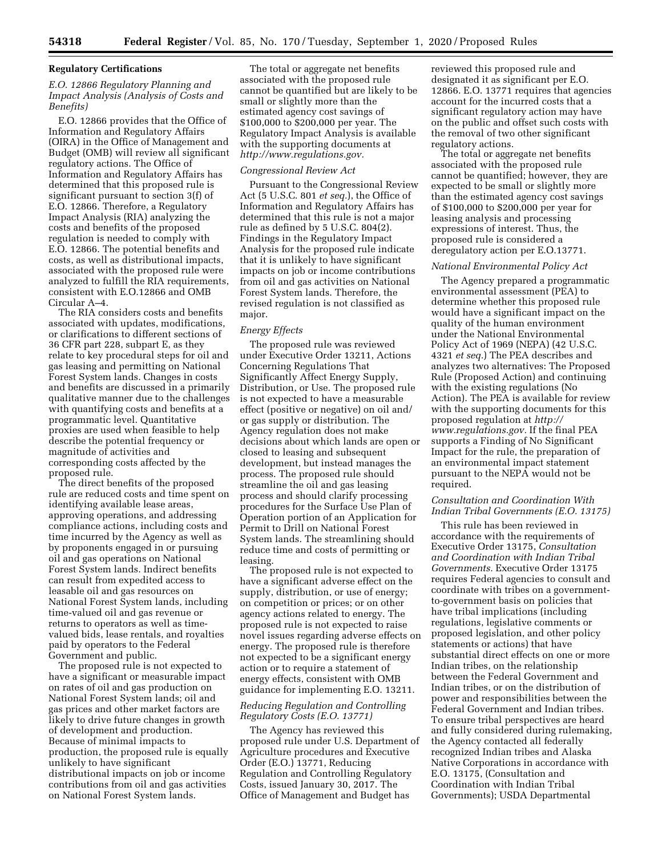#### **Regulatory Certifications**

### *E.O. 12866 Regulatory Planning and Impact Analysis (Analysis of Costs and Benefits)*

E.O. 12866 provides that the Office of Information and Regulatory Affairs (OIRA) in the Office of Management and Budget (OMB) will review all significant regulatory actions. The Office of Information and Regulatory Affairs has determined that this proposed rule is significant pursuant to section 3(f) of E.O. 12866. Therefore, a Regulatory Impact Analysis (RIA) analyzing the costs and benefits of the proposed regulation is needed to comply with E.O. 12866. The potential benefits and costs, as well as distributional impacts, associated with the proposed rule were analyzed to fulfill the RIA requirements, consistent with E.O.12866 and OMB Circular A–4.

The RIA considers costs and benefits associated with updates, modifications, or clarifications to different sections of 36 CFR part 228, subpart E, as they relate to key procedural steps for oil and gas leasing and permitting on National Forest System lands. Changes in costs and benefits are discussed in a primarily qualitative manner due to the challenges with quantifying costs and benefits at a programmatic level. Quantitative proxies are used when feasible to help describe the potential frequency or magnitude of activities and corresponding costs affected by the proposed rule.

The direct benefits of the proposed rule are reduced costs and time spent on identifying available lease areas, approving operations, and addressing compliance actions, including costs and time incurred by the Agency as well as by proponents engaged in or pursuing oil and gas operations on National Forest System lands. Indirect benefits can result from expedited access to leasable oil and gas resources on National Forest System lands, including time-valued oil and gas revenue or returns to operators as well as timevalued bids, lease rentals, and royalties paid by operators to the Federal Government and public.

The proposed rule is not expected to have a significant or measurable impact on rates of oil and gas production on National Forest System lands; oil and gas prices and other market factors are likely to drive future changes in growth of development and production. Because of minimal impacts to production, the proposed rule is equally unlikely to have significant distributional impacts on job or income contributions from oil and gas activities on National Forest System lands.

The total or aggregate net benefits associated with the proposed rule cannot be quantified but are likely to be small or slightly more than the estimated agency cost savings of \$100,000 to \$200,000 per year. The Regulatory Impact Analysis is available with the supporting documents at *http://www.regulations.gov.* 

## *Congressional Review Act*

Pursuant to the Congressional Review Act (5 U.S.C. 801 *et seq.*), the Office of Information and Regulatory Affairs has determined that this rule is not a major rule as defined by 5 U.S.C. 804(2). Findings in the Regulatory Impact Analysis for the proposed rule indicate that it is unlikely to have significant impacts on job or income contributions from oil and gas activities on National Forest System lands. Therefore, the revised regulation is not classified as major.

#### *Energy Effects*

The proposed rule was reviewed under Executive Order 13211, Actions Concerning Regulations That Significantly Affect Energy Supply, Distribution, or Use. The proposed rule is not expected to have a measurable effect (positive or negative) on oil and/ or gas supply or distribution. The Agency regulation does not make decisions about which lands are open or closed to leasing and subsequent development, but instead manages the process. The proposed rule should streamline the oil and gas leasing process and should clarify processing procedures for the Surface Use Plan of Operation portion of an Application for Permit to Drill on National Forest System lands. The streamlining should reduce time and costs of permitting or leasing.

The proposed rule is not expected to have a significant adverse effect on the supply, distribution, or use of energy; on competition or prices; or on other agency actions related to energy. The proposed rule is not expected to raise novel issues regarding adverse effects on energy. The proposed rule is therefore not expected to be a significant energy action or to require a statement of energy effects, consistent with OMB guidance for implementing E.O. 13211.

## *Reducing Regulation and Controlling Regulatory Costs (E.O. 13771)*

The Agency has reviewed this proposed rule under U.S. Department of Agriculture procedures and Executive Order (E.O.) 13771, Reducing Regulation and Controlling Regulatory Costs, issued January 30, 2017. The Office of Management and Budget has

reviewed this proposed rule and designated it as significant per E.O. 12866. E.O. 13771 requires that agencies account for the incurred costs that a significant regulatory action may have on the public and offset such costs with the removal of two other significant regulatory actions.

The total or aggregate net benefits associated with the proposed rule cannot be quantified; however, they are expected to be small or slightly more than the estimated agency cost savings of \$100,000 to \$200,000 per year for leasing analysis and processing expressions of interest. Thus, the proposed rule is considered a deregulatory action per E.O.13771.

#### *National Environmental Policy Act*

The Agency prepared a programmatic environmental assessment (PEA) to determine whether this proposed rule would have a significant impact on the quality of the human environment under the National Environmental Policy Act of 1969 (NEPA) (42 U.S.C. 4321 *et seq.*) The PEA describes and analyzes two alternatives: The Proposed Rule (Proposed Action) and continuing with the existing regulations (No Action). The PEA is available for review with the supporting documents for this proposed regulation at *http:// www.regulations.gov.* If the final PEA supports a Finding of No Significant Impact for the rule, the preparation of an environmental impact statement pursuant to the NEPA would not be required.

## *Consultation and Coordination With Indian Tribal Governments (E.O. 13175)*

This rule has been reviewed in accordance with the requirements of Executive Order 13175, *Consultation and Coordination with Indian Tribal Governments.* Executive Order 13175 requires Federal agencies to consult and coordinate with tribes on a governmentto-government basis on policies that have tribal implications (including regulations, legislative comments or proposed legislation, and other policy statements or actions) that have substantial direct effects on one or more Indian tribes, on the relationship between the Federal Government and Indian tribes, or on the distribution of power and responsibilities between the Federal Government and Indian tribes. To ensure tribal perspectives are heard and fully considered during rulemaking, the Agency contacted all federally recognized Indian tribes and Alaska Native Corporations in accordance with E.O. 13175, (Consultation and Coordination with Indian Tribal Governments); USDA Departmental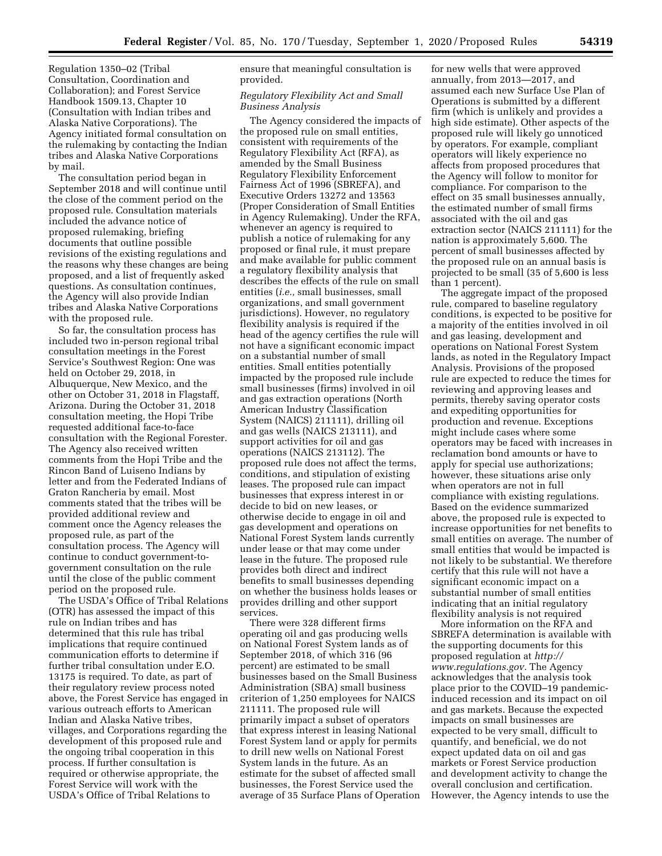Regulation 1350–02 (Tribal Consultation, Coordination and Collaboration); and Forest Service Handbook 1509.13, Chapter 10 (Consultation with Indian tribes and Alaska Native Corporations). The Agency initiated formal consultation on the rulemaking by contacting the Indian tribes and Alaska Native Corporations by mail.

The consultation period began in September 2018 and will continue until the close of the comment period on the proposed rule. Consultation materials included the advance notice of proposed rulemaking, briefing documents that outline possible revisions of the existing regulations and the reasons why these changes are being proposed, and a list of frequently asked questions. As consultation continues, the Agency will also provide Indian tribes and Alaska Native Corporations with the proposed rule.

So far, the consultation process has included two in-person regional tribal consultation meetings in the Forest Service's Southwest Region: One was held on October 29, 2018, in Albuquerque, New Mexico, and the other on October 31, 2018 in Flagstaff, Arizona. During the October 31, 2018 consultation meeting, the Hopi Tribe requested additional face-to-face consultation with the Regional Forester. The Agency also received written comments from the Hopi Tribe and the Rincon Band of Luiseno Indians by letter and from the Federated Indians of Graton Rancheria by email. Most comments stated that the tribes will be provided additional review and comment once the Agency releases the proposed rule, as part of the consultation process. The Agency will continue to conduct government-togovernment consultation on the rule until the close of the public comment period on the proposed rule.

The USDA's Office of Tribal Relations (OTR) has assessed the impact of this rule on Indian tribes and has determined that this rule has tribal implications that require continued communication efforts to determine if further tribal consultation under E.O. 13175 is required. To date, as part of their regulatory review process noted above, the Forest Service has engaged in various outreach efforts to American Indian and Alaska Native tribes, villages, and Corporations regarding the development of this proposed rule and the ongoing tribal cooperation in this process. If further consultation is required or otherwise appropriate, the Forest Service will work with the USDA's Office of Tribal Relations to

ensure that meaningful consultation is provided.

### *Regulatory Flexibility Act and Small Business Analysis*

The Agency considered the impacts of the proposed rule on small entities, consistent with requirements of the Regulatory Flexibility Act (RFA), as amended by the Small Business Regulatory Flexibility Enforcement Fairness Act of 1996 (SBREFA), and Executive Orders 13272 and 13563 (Proper Consideration of Small Entities in Agency Rulemaking). Under the RFA, whenever an agency is required to publish a notice of rulemaking for any proposed or final rule, it must prepare and make available for public comment a regulatory flexibility analysis that describes the effects of the rule on small entities (*i.e.,* small businesses, small organizations, and small government jurisdictions). However, no regulatory flexibility analysis is required if the head of the agency certifies the rule will not have a significant economic impact on a substantial number of small entities. Small entities potentially impacted by the proposed rule include small businesses (firms) involved in oil and gas extraction operations (North American Industry Classification System (NAICS) 211111), drilling oil and gas wells (NAICS 213111), and support activities for oil and gas operations (NAICS 213112). The proposed rule does not affect the terms, conditions, and stipulation of existing leases. The proposed rule can impact businesses that express interest in or decide to bid on new leases, or otherwise decide to engage in oil and gas development and operations on National Forest System lands currently under lease or that may come under lease in the future. The proposed rule provides both direct and indirect benefits to small businesses depending on whether the business holds leases or provides drilling and other support services.

There were 328 different firms operating oil and gas producing wells on National Forest System lands as of September 2018, of which 316 (96 percent) are estimated to be small businesses based on the Small Business Administration (SBA) small business criterion of 1,250 employees for NAICS 211111. The proposed rule will primarily impact a subset of operators that express interest in leasing National Forest System land or apply for permits to drill new wells on National Forest System lands in the future. As an estimate for the subset of affected small businesses, the Forest Service used the average of 35 Surface Plans of Operation for new wells that were approved annually, from 2013—2017, and assumed each new Surface Use Plan of Operations is submitted by a different firm (which is unlikely and provides a high side estimate). Other aspects of the proposed rule will likely go unnoticed by operators. For example, compliant operators will likely experience no affects from proposed procedures that the Agency will follow to monitor for compliance. For comparison to the effect on 35 small businesses annually, the estimated number of small firms associated with the oil and gas extraction sector (NAICS 211111) for the nation is approximately 5,600. The percent of small businesses affected by the proposed rule on an annual basis is projected to be small (35 of 5,600 is less than 1 percent).

The aggregate impact of the proposed rule, compared to baseline regulatory conditions, is expected to be positive for a majority of the entities involved in oil and gas leasing, development and operations on National Forest System lands, as noted in the Regulatory Impact Analysis. Provisions of the proposed rule are expected to reduce the times for reviewing and approving leases and permits, thereby saving operator costs and expediting opportunities for production and revenue. Exceptions might include cases where some operators may be faced with increases in reclamation bond amounts or have to apply for special use authorizations; however, these situations arise only when operators are not in full compliance with existing regulations. Based on the evidence summarized above, the proposed rule is expected to increase opportunities for net benefits to small entities on average. The number of small entities that would be impacted is not likely to be substantial. We therefore certify that this rule will not have a significant economic impact on a substantial number of small entities indicating that an initial regulatory flexibility analysis is not required

More information on the RFA and SBREFA determination is available with the supporting documents for this proposed regulation at *http:// www.regulations.gov.* The Agency acknowledges that the analysis took place prior to the COVID–19 pandemicinduced recession and its impact on oil and gas markets. Because the expected impacts on small businesses are expected to be very small, difficult to quantify, and beneficial, we do not expect updated data on oil and gas markets or Forest Service production and development activity to change the overall conclusion and certification. However, the Agency intends to use the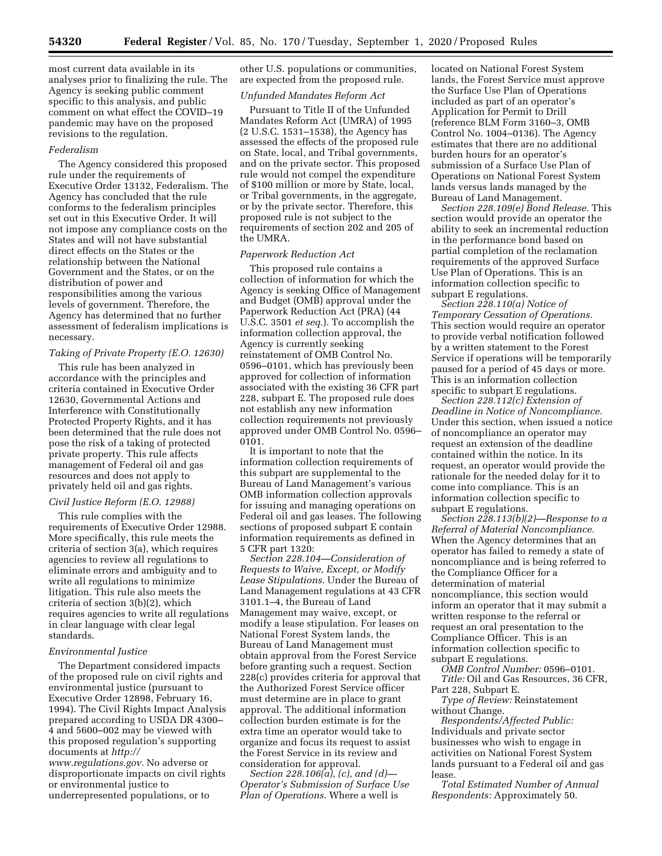most current data available in its analyses prior to finalizing the rule. The Agency is seeking public comment specific to this analysis, and public comment on what effect the COVID–19 pandemic may have on the proposed revisions to the regulation.

#### *Federalism*

The Agency considered this proposed rule under the requirements of Executive Order 13132, Federalism. The Agency has concluded that the rule conforms to the federalism principles set out in this Executive Order. It will not impose any compliance costs on the States and will not have substantial direct effects on the States or the relationship between the National Government and the States, or on the distribution of power and responsibilities among the various levels of government. Therefore, the Agency has determined that no further assessment of federalism implications is necessary.

## *Taking of Private Property (E.O. 12630)*

This rule has been analyzed in accordance with the principles and criteria contained in Executive Order 12630, Governmental Actions and Interference with Constitutionally Protected Property Rights, and it has been determined that the rule does not pose the risk of a taking of protected private property. This rule affects management of Federal oil and gas resources and does not apply to privately held oil and gas rights.

#### *Civil Justice Reform (E.O. 12988)*

This rule complies with the requirements of Executive Order 12988. More specifically, this rule meets the criteria of section 3(a), which requires agencies to review all regulations to eliminate errors and ambiguity and to write all regulations to minimize litigation. This rule also meets the criteria of section 3(b)(2), which requires agencies to write all regulations in clear language with clear legal standards.

#### *Environmental Justice*

The Department considered impacts of the proposed rule on civil rights and environmental justice (pursuant to Executive Order 12898, February 16, 1994). The Civil Rights Impact Analysis prepared according to USDA DR 4300– 4 and 5600–002 may be viewed with this proposed regulation's supporting documents at *http:// www.regulations.gov.* No adverse or disproportionate impacts on civil rights or environmental justice to

underrepresented populations, or to

other U.S. populations or communities, are expected from the proposed rule.

### *Unfunded Mandates Reform Act*

Pursuant to Title II of the Unfunded Mandates Reform Act (UMRA) of 1995 (2 U.S.C. 1531–1538), the Agency has assessed the effects of the proposed rule on State, local, and Tribal governments, and on the private sector. This proposed rule would not compel the expenditure of \$100 million or more by State, local, or Tribal governments, in the aggregate, or by the private sector. Therefore, this proposed rule is not subject to the requirements of section 202 and 205 of the UMRA.

### *Paperwork Reduction Act*

This proposed rule contains a collection of information for which the Agency is seeking Office of Management and Budget (OMB) approval under the Paperwork Reduction Act (PRA) (44 U.S.C. 3501 *et seq.*). To accomplish the information collection approval, the Agency is currently seeking reinstatement of OMB Control No. 0596–0101, which has previously been approved for collection of information associated with the existing 36 CFR part 228, subpart E. The proposed rule does not establish any new information collection requirements not previously approved under OMB Control No. 0596– 0101.

It is important to note that the information collection requirements of this subpart are supplemental to the Bureau of Land Management's various OMB information collection approvals for issuing and managing operations on Federal oil and gas leases. The following sections of proposed subpart E contain information requirements as defined in 5 CFR part 1320:

*Section 228.104—Consideration of Requests to Waive, Except, or Modify Lease Stipulations.* Under the Bureau of Land Management regulations at 43 CFR 3101.1–4, the Bureau of Land Management may waive, except, or modify a lease stipulation. For leases on National Forest System lands, the Bureau of Land Management must obtain approval from the Forest Service before granting such a request. Section 228(c) provides criteria for approval that the Authorized Forest Service officer must determine are in place to grant approval. The additional information collection burden estimate is for the extra time an operator would take to organize and focus its request to assist the Forest Service in its review and consideration for approval.

*Section 228.106(a), (c), and (d)— Operator's Submission of Surface Use Plan of Operations.* Where a well is

located on National Forest System lands, the Forest Service must approve the Surface Use Plan of Operations included as part of an operator's Application for Permit to Drill (reference BLM Form 3160–3, OMB Control No. 1004–0136). The Agency estimates that there are no additional burden hours for an operator's submission of a Surface Use Plan of Operations on National Forest System lands versus lands managed by the Bureau of Land Management.

*Section 228.109(e) Bond Release.* This section would provide an operator the ability to seek an incremental reduction in the performance bond based on partial completion of the reclamation requirements of the approved Surface Use Plan of Operations. This is an information collection specific to subpart E regulations.

*Section 228.110(a) Notice of Temporary Cessation of Operations.*  This section would require an operator to provide verbal notification followed by a written statement to the Forest Service if operations will be temporarily paused for a period of 45 days or more. This is an information collection specific to subpart E regulations.

*Section 228.112(c) Extension of Deadline in Notice of Noncompliance.*  Under this section, when issued a notice of noncompliance an operator may request an extension of the deadline contained within the notice. In its request, an operator would provide the rationale for the needed delay for it to come into compliance. This is an information collection specific to subpart E regulations.

*Section 228.113(b)(2)—Response to a Referral of Material Noncompliance.*  When the Agency determines that an operator has failed to remedy a state of noncompliance and is being referred to the Compliance Officer for a determination of material noncompliance, this section would inform an operator that it may submit a written response to the referral or request an oral presentation to the Compliance Officer. This is an information collection specific to subpart E regulations.

*OMB Control Number:* 0596–0101. *Title:* Oil and Gas Resources, 36 CFR, Part 228, Subpart E.

*Type of Review:* Reinstatement without Change.

*Respondents/Affected Public:*  Individuals and private sector businesses who wish to engage in activities on National Forest System lands pursuant to a Federal oil and gas lease.

*Total Estimated Number of Annual Respondents:* Approximately 50.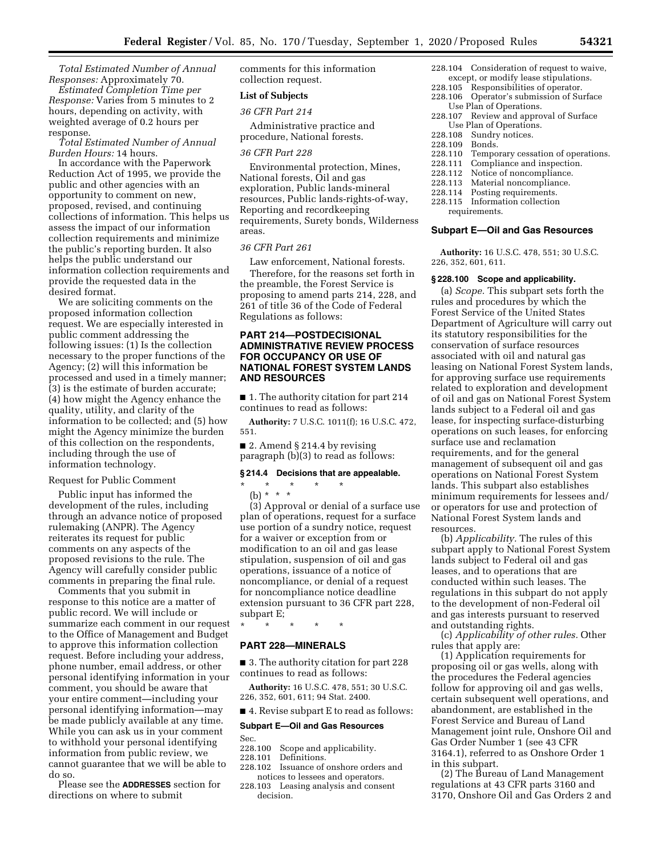*Total Estimated Number of Annual Responses:* Approximately 70.

*Estimated Completion Time per Response:* Varies from 5 minutes to 2 hours, depending on activity, with weighted average of 0.2 hours per response.

*Total Estimated Number of Annual Burden Hours:* 14 hours.

In accordance with the Paperwork Reduction Act of 1995, we provide the public and other agencies with an opportunity to comment on new, proposed, revised, and continuing collections of information. This helps us assess the impact of our information collection requirements and minimize the public's reporting burden. It also helps the public understand our information collection requirements and provide the requested data in the desired format.

We are soliciting comments on the proposed information collection request. We are especially interested in public comment addressing the following issues: (1) Is the collection necessary to the proper functions of the Agency; (2) will this information be processed and used in a timely manner; (3) is the estimate of burden accurate; (4) how might the Agency enhance the quality, utility, and clarity of the information to be collected; and (5) how might the Agency minimize the burden of this collection on the respondents, including through the use of information technology.

#### Request for Public Comment

Public input has informed the development of the rules, including through an advance notice of proposed rulemaking (ANPR). The Agency reiterates its request for public comments on any aspects of the proposed revisions to the rule. The Agency will carefully consider public comments in preparing the final rule.

Comments that you submit in response to this notice are a matter of public record. We will include or summarize each comment in our request to the Office of Management and Budget to approve this information collection request. Before including your address, phone number, email address, or other personal identifying information in your comment, you should be aware that your entire comment—including your personal identifying information—may be made publicly available at any time. While you can ask us in your comment to withhold your personal identifying information from public review, we cannot guarantee that we will be able to do so.

Please see the **ADDRESSES** section for directions on where to submit

comments for this information collection request.

### **List of Subjects**

## *36 CFR Part 214*

Administrative practice and procedure, National forests.

#### *36 CFR Part 228*

Environmental protection, Mines, National forests, Oil and gas exploration, Public lands-mineral resources, Public lands-rights-of-way, Reporting and recordkeeping requirements, Surety bonds, Wilderness areas.

## *36 CFR Part 261*

Law enforcement, National forests. Therefore, for the reasons set forth in the preamble, the Forest Service is proposing to amend parts 214, 228, and 261 of title 36 of the Code of Federal Regulations as follows:

## **PART 214—POSTDECISIONAL ADMINISTRATIVE REVIEW PROCESS FOR OCCUPANCY OR USE OF NATIONAL FOREST SYSTEM LANDS AND RESOURCES**

■ 1. The authority citation for part 214 continues to read as follows:

**Authority:** 7 U.S.C. 1011(f); 16 U.S.C. 472, 551.

■ 2. Amend § 214.4 by revising paragraph (b)(3) to read as follows:

#### **§ 214.4 Decisions that are appealable.**

\* \* \* \* \*

(b) \* \* \* (3) Approval or denial of a surface use plan of operations, request for a surface use portion of a sundry notice, request for a waiver or exception from or modification to an oil and gas lease stipulation, suspension of oil and gas operations, issuance of a notice of noncompliance, or denial of a request for noncompliance notice deadline extension pursuant to 36 CFR part 228, subpart E;

\* \* \* \* \*

## **PART 228—MINERALS**

■ 3. The authority citation for part 228 continues to read as follows:

**Authority:** 16 U.S.C. 478, 551; 30 U.S.C. 226, 352, 601, 611; 94 Stat. 2400.

## ■ 4. Revise subpart E to read as follows:

#### **Subpart E—Oil and Gas Resources**

- Sec.<br>228.100 Scope and applicability.
- 228.101 Definitions.
- 228.102 Issuance of onshore orders and notices to lessees and operators.
- 228.103 Leasing analysis and consent decision.
- 228.104 Consideration of request to waive, except, or modify lease stipulations.
- 228.105 Responsibilities of operator.<br>228.106 Operator's submission of Su
- Operator's submission of Surface Use Plan of Operations.
- 228.107 Review and approval of Surface Use Plan of Operations.<br>228.108 Sundry notices.
- Sundry notices.
- 228.109 Bonds.<br>228.110 Tempo
- Temporary cessation of operations.
- 228.111 Compliance and inspection.<br>228.112 Notice of noncompliance.
- 228.112 Notice of noncompliance.<br>228.113 Material noncompliance.
- Material noncompliance.
- 228.114 Posting requirements.
- 228.115 Information collection requirements.

#### **Subpart E—Oil and Gas Resources**

**Authority:** 16 U.S.C. 478, 551; 30 U.S.C. 226, 352, 601, 611.

#### **§ 228.100 Scope and applicability.**

(a) *Scope.* This subpart sets forth the rules and procedures by which the Forest Service of the United States Department of Agriculture will carry out its statutory responsibilities for the conservation of surface resources associated with oil and natural gas leasing on National Forest System lands, for approving surface use requirements related to exploration and development of oil and gas on National Forest System lands subject to a Federal oil and gas lease, for inspecting surface-disturbing operations on such leases, for enforcing surface use and reclamation requirements, and for the general management of subsequent oil and gas operations on National Forest System lands. This subpart also establishes minimum requirements for lessees and/ or operators for use and protection of National Forest System lands and resources.

(b) *Applicability.* The rules of this subpart apply to National Forest System lands subject to Federal oil and gas leases, and to operations that are conducted within such leases. The regulations in this subpart do not apply to the development of non-Federal oil and gas interests pursuant to reserved and outstanding rights.

(c) *Applicability of other rules.* Other rules that apply are:

(1) Application requirements for proposing oil or gas wells, along with the procedures the Federal agencies follow for approving oil and gas wells, certain subsequent well operations, and abandonment, are established in the Forest Service and Bureau of Land Management joint rule, Onshore Oil and Gas Order Number 1 (see 43 CFR 3164.1), referred to as Onshore Order 1 in this subpart.

(2) The Bureau of Land Management regulations at 43 CFR parts 3160 and 3170, Onshore Oil and Gas Orders 2 and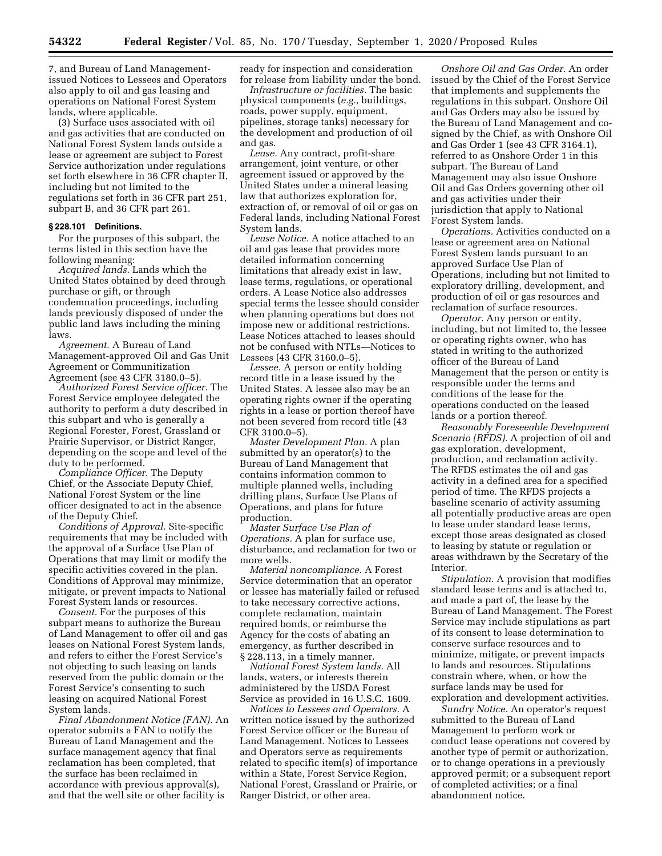7, and Bureau of Land Managementissued Notices to Lessees and Operators also apply to oil and gas leasing and operations on National Forest System lands, where applicable.

(3) Surface uses associated with oil and gas activities that are conducted on National Forest System lands outside a lease or agreement are subject to Forest Service authorization under regulations set forth elsewhere in 36 CFR chapter II, including but not limited to the regulations set forth in 36 CFR part 251, subpart B, and 36 CFR part 261.

### **§ 228.101 Definitions.**

For the purposes of this subpart, the terms listed in this section have the following meaning:

*Acquired lands.* Lands which the United States obtained by deed through purchase or gift, or through condemnation proceedings, including lands previously disposed of under the public land laws including the mining laws.

*Agreement.* A Bureau of Land Management-approved Oil and Gas Unit Agreement or Communitization Agreement (see 43 CFR 3180.0–5).

*Authorized Forest Service officer.* The Forest Service employee delegated the authority to perform a duty described in this subpart and who is generally a Regional Forester, Forest, Grassland or Prairie Supervisor, or District Ranger, depending on the scope and level of the duty to be performed.

*Compliance Officer.* The Deputy Chief, or the Associate Deputy Chief, National Forest System or the line officer designated to act in the absence of the Deputy Chief.

*Conditions of Approval.* Site-specific requirements that may be included with the approval of a Surface Use Plan of Operations that may limit or modify the specific activities covered in the plan. Conditions of Approval may minimize, mitigate, or prevent impacts to National Forest System lands or resources.

*Consent.* For the purposes of this subpart means to authorize the Bureau of Land Management to offer oil and gas leases on National Forest System lands, and refers to either the Forest Service's not objecting to such leasing on lands reserved from the public domain or the Forest Service's consenting to such leasing on acquired National Forest System lands.

*Final Abandonment Notice (FAN).* An operator submits a FAN to notify the Bureau of Land Management and the surface management agency that final reclamation has been completed, that the surface has been reclaimed in accordance with previous approval(s), and that the well site or other facility is

ready for inspection and consideration for release from liability under the bond.

*Infrastructure or facilities.* The basic physical components (*e.g.,* buildings, roads, power supply, equipment, pipelines, storage tanks) necessary for the development and production of oil and gas.

*Lease.* Any contract, profit-share arrangement, joint venture, or other agreement issued or approved by the United States under a mineral leasing law that authorizes exploration for, extraction of, or removal of oil or gas on Federal lands, including National Forest System lands.

*Lease Notice.* A notice attached to an oil and gas lease that provides more detailed information concerning limitations that already exist in law, lease terms, regulations, or operational orders. A Lease Notice also addresses special terms the lessee should consider when planning operations but does not impose new or additional restrictions. Lease Notices attached to leases should not be confused with NTLs—Notices to Lessees (43 CFR 3160.0–5).

*Lessee.* A person or entity holding record title in a lease issued by the United States. A lessee also may be an operating rights owner if the operating rights in a lease or portion thereof have not been severed from record title (43 CFR 3100.0–5).

*Master Development Plan.* A plan submitted by an operator(s) to the Bureau of Land Management that contains information common to multiple planned wells, including drilling plans, Surface Use Plans of Operations, and plans for future production.

*Master Surface Use Plan of Operations.* A plan for surface use, disturbance, and reclamation for two or more wells.

*Material noncompliance.* A Forest Service determination that an operator or lessee has materially failed or refused to take necessary corrective actions, complete reclamation, maintain required bonds, or reimburse the Agency for the costs of abating an emergency, as further described in § 228.113, in a timely manner.

*National Forest System lands.* All lands, waters, or interests therein administered by the USDA Forest Service as provided in 16 U.S.C. 1609.

*Notices to Lessees and Operators.* A written notice issued by the authorized Forest Service officer or the Bureau of Land Management. Notices to Lessees and Operators serve as requirements related to specific item(s) of importance within a State, Forest Service Region, National Forest, Grassland or Prairie, or Ranger District, or other area.

*Onshore Oil and Gas Order.* An order issued by the Chief of the Forest Service that implements and supplements the regulations in this subpart. Onshore Oil and Gas Orders may also be issued by the Bureau of Land Management and cosigned by the Chief, as with Onshore Oil and Gas Order 1 (see 43 CFR 3164.1), referred to as Onshore Order 1 in this subpart. The Bureau of Land Management may also issue Onshore Oil and Gas Orders governing other oil and gas activities under their jurisdiction that apply to National Forest System lands.

*Operations.* Activities conducted on a lease or agreement area on National Forest System lands pursuant to an approved Surface Use Plan of Operations, including but not limited to exploratory drilling, development, and production of oil or gas resources and reclamation of surface resources.

*Operator.* Any person or entity, including, but not limited to, the lessee or operating rights owner, who has stated in writing to the authorized officer of the Bureau of Land Management that the person or entity is responsible under the terms and conditions of the lease for the operations conducted on the leased lands or a portion thereof.

*Reasonably Foreseeable Development Scenario (RFDS).* A projection of oil and gas exploration, development, production, and reclamation activity. The RFDS estimates the oil and gas activity in a defined area for a specified period of time. The RFDS projects a baseline scenario of activity assuming all potentially productive areas are open to lease under standard lease terms, except those areas designated as closed to leasing by statute or regulation or areas withdrawn by the Secretary of the Interior.

*Stipulation.* A provision that modifies standard lease terms and is attached to, and made a part of, the lease by the Bureau of Land Management. The Forest Service may include stipulations as part of its consent to lease determination to conserve surface resources and to minimize, mitigate, or prevent impacts to lands and resources. Stipulations constrain where, when, or how the surface lands may be used for exploration and development activities.

*Sundry Notice.* An operator's request submitted to the Bureau of Land Management to perform work or conduct lease operations not covered by another type of permit or authorization, or to change operations in a previously approved permit; or a subsequent report of completed activities; or a final abandonment notice.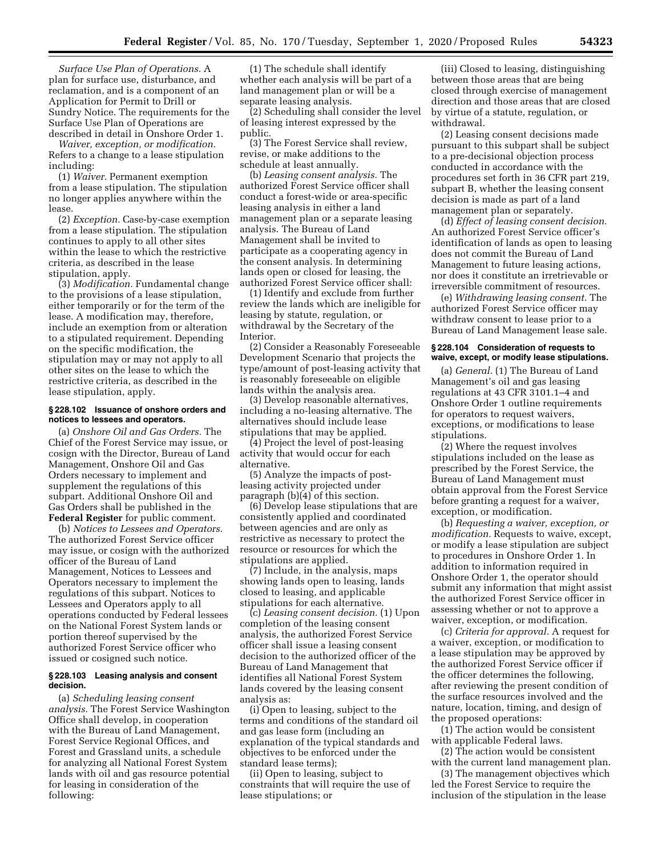*Surface Use Plan of Operations.* A plan for surface use, disturbance, and reclamation, and is a component of an Application for Permit to Drill or Sundry Notice. The requirements for the Surface Use Plan of Operations are described in detail in Onshore Order 1.

*Waiver, exception, or modification.*  Refers to a change to a lease stipulation including:

(1) *Waiver.* Permanent exemption from a lease stipulation. The stipulation no longer applies anywhere within the lease.

(2) *Exception.* Case-by-case exemption from a lease stipulation. The stipulation continues to apply to all other sites within the lease to which the restrictive criteria, as described in the lease stipulation, apply.

(3) *Modification.* Fundamental change to the provisions of a lease stipulation, either temporarily or for the term of the lease. A modification may, therefore, include an exemption from or alteration to a stipulated requirement. Depending on the specific modification, the stipulation may or may not apply to all other sites on the lease to which the restrictive criteria, as described in the lease stipulation, apply.

#### **§ 228.102 Issuance of onshore orders and notices to lessees and operators.**

(a) *Onshore Oil and Gas Orders.* The Chief of the Forest Service may issue, or cosign with the Director, Bureau of Land Management, Onshore Oil and Gas Orders necessary to implement and supplement the regulations of this subpart. Additional Onshore Oil and Gas Orders shall be published in the **Federal Register** for public comment.

(b) *Notices to Lessees and Operators.*  The authorized Forest Service officer may issue, or cosign with the authorized officer of the Bureau of Land Management, Notices to Lessees and Operators necessary to implement the regulations of this subpart. Notices to Lessees and Operators apply to all operations conducted by Federal lessees on the National Forest System lands or portion thereof supervised by the authorized Forest Service officer who issued or cosigned such notice.

#### **§ 228.103 Leasing analysis and consent decision.**

(a) *Scheduling leasing consent analysis.* The Forest Service Washington Office shall develop, in cooperation with the Bureau of Land Management, Forest Service Regional Offices, and Forest and Grassland units, a schedule for analyzing all National Forest System lands with oil and gas resource potential for leasing in consideration of the following:

(1) The schedule shall identify whether each analysis will be part of a land management plan or will be a separate leasing analysis.

(2) Scheduling shall consider the level of leasing interest expressed by the public.

(3) The Forest Service shall review, revise, or make additions to the schedule at least annually.

(b) *Leasing consent analysis.* The authorized Forest Service officer shall conduct a forest-wide or area-specific leasing analysis in either a land management plan or a separate leasing analysis. The Bureau of Land Management shall be invited to participate as a cooperating agency in the consent analysis. In determining lands open or closed for leasing, the authorized Forest Service officer shall:

(1) Identify and exclude from further review the lands which are ineligible for leasing by statute, regulation, or withdrawal by the Secretary of the Interior.

(2) Consider a Reasonably Foreseeable Development Scenario that projects the type/amount of post-leasing activity that is reasonably foreseeable on eligible lands within the analysis area.

(3) Develop reasonable alternatives, including a no-leasing alternative. The alternatives should include lease stipulations that may be applied.

(4) Project the level of post-leasing activity that would occur for each alternative.

(5) Analyze the impacts of postleasing activity projected under paragraph (b)(4) of this section.

(6) Develop lease stipulations that are consistently applied and coordinated between agencies and are only as restrictive as necessary to protect the resource or resources for which the stipulations are applied.

(7) Include, in the analysis, maps showing lands open to leasing, lands closed to leasing, and applicable stipulations for each alternative.

(c) *Leasing consent decision.* (1) Upon completion of the leasing consent analysis, the authorized Forest Service officer shall issue a leasing consent decision to the authorized officer of the Bureau of Land Management that identifies all National Forest System lands covered by the leasing consent analysis as:

(i) Open to leasing, subject to the terms and conditions of the standard oil and gas lease form (including an explanation of the typical standards and objectives to be enforced under the standard lease terms);

(ii) Open to leasing, subject to constraints that will require the use of lease stipulations; or

(iii) Closed to leasing, distinguishing between those areas that are being closed through exercise of management direction and those areas that are closed by virtue of a statute, regulation, or withdrawal.

(2) Leasing consent decisions made pursuant to this subpart shall be subject to a pre-decisional objection process conducted in accordance with the procedures set forth in 36 CFR part 219, subpart B, whether the leasing consent decision is made as part of a land management plan or separately.

(d) *Effect of leasing consent decision.*  An authorized Forest Service officer's identification of lands as open to leasing does not commit the Bureau of Land Management to future leasing actions, nor does it constitute an irretrievable or irreversible commitment of resources.

(e) *Withdrawing leasing consent.* The authorized Forest Service officer may withdraw consent to lease prior to a Bureau of Land Management lease sale.

#### **§ 228.104 Consideration of requests to waive, except, or modify lease stipulations.**

(a) *General.* (1) The Bureau of Land Management's oil and gas leasing regulations at 43 CFR 3101.1–4 and Onshore Order 1 outline requirements for operators to request waivers, exceptions, or modifications to lease stipulations.

(2) Where the request involves stipulations included on the lease as prescribed by the Forest Service, the Bureau of Land Management must obtain approval from the Forest Service before granting a request for a waiver, exception, or modification.

(b) *Requesting a waiver, exception, or modification.* Requests to waive, except, or modify a lease stipulation are subject to procedures in Onshore Order 1. In addition to information required in Onshore Order 1, the operator should submit any information that might assist the authorized Forest Service officer in assessing whether or not to approve a waiver, exception, or modification.

(c) *Criteria for approval.* A request for a waiver, exception, or modification to a lease stipulation may be approved by the authorized Forest Service officer if the officer determines the following, after reviewing the present condition of the surface resources involved and the nature, location, timing, and design of the proposed operations:

(1) The action would be consistent with applicable Federal laws.

(2) The action would be consistent with the current land management plan.

(3) The management objectives which led the Forest Service to require the inclusion of the stipulation in the lease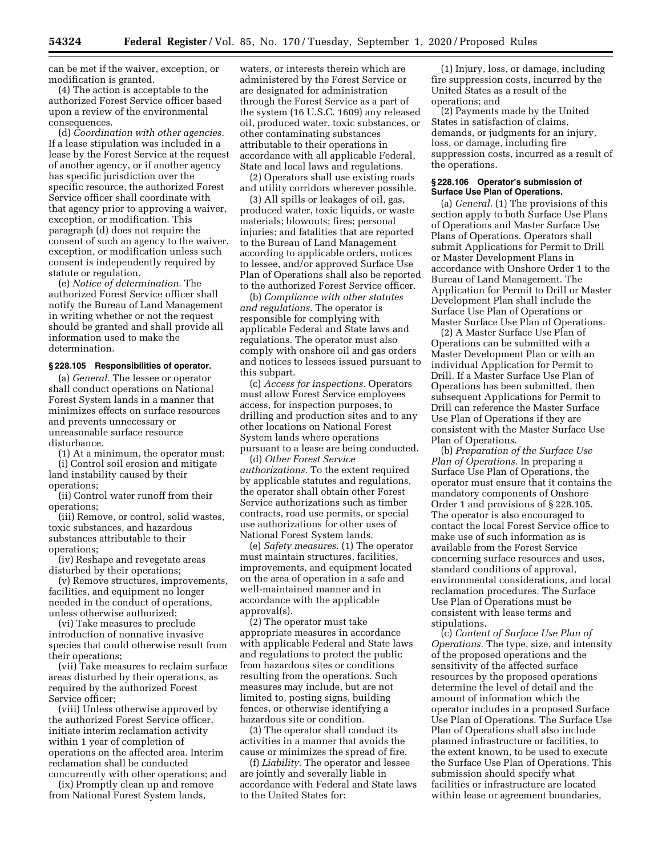can be met if the waiver, exception, or modification is granted.

(4) The action is acceptable to the authorized Forest Service officer based upon a review of the environmental consequences.

(d) *Coordination with other agencies.*  If a lease stipulation was included in a lease by the Forest Service at the request of another agency, or if another agency has specific jurisdiction over the specific resource, the authorized Forest Service officer shall coordinate with that agency prior to approving a waiver, exception, or modification. This paragraph (d) does not require the consent of such an agency to the waiver, exception, or modification unless such consent is independently required by statute or regulation.

(e) *Notice of determination.* The authorized Forest Service officer shall notify the Bureau of Land Management in writing whether or not the request should be granted and shall provide all information used to make the determination.

#### **§ 228.105 Responsibilities of operator.**

(a) *General.* The lessee or operator shall conduct operations on National Forest System lands in a manner that minimizes effects on surface resources and prevents unnecessary or unreasonable surface resource disturbance.

(1) At a minimum, the operator must:

(i) Control soil erosion and mitigate land instability caused by their operations;

(ii) Control water runoff from their operations;

(iii) Remove, or control, solid wastes, toxic substances, and hazardous substances attributable to their operations;

(iv) Reshape and revegetate areas disturbed by their operations;

(v) Remove structures, improvements, facilities, and equipment no longer needed in the conduct of operations, unless otherwise authorized;

(vi) Take measures to preclude introduction of nonnative invasive species that could otherwise result from their operations;

(vii) Take measures to reclaim surface areas disturbed by their operations, as required by the authorized Forest Service officer;

(viii) Unless otherwise approved by the authorized Forest Service officer, initiate interim reclamation activity within 1 year of completion of operations on the affected area. Interim reclamation shall be conducted concurrently with other operations; and

(ix) Promptly clean up and remove from National Forest System lands,

waters, or interests therein which are administered by the Forest Service or are designated for administration through the Forest Service as a part of the system (16 U.S.C. 1609) any released oil, produced water, toxic substances, or other contaminating substances attributable to their operations in accordance with all applicable Federal, State and local laws and regulations.

(2) Operators shall use existing roads and utility corridors wherever possible.

(3) All spills or leakages of oil, gas, produced water, toxic liquids, or waste materials; blowouts; fires; personal injuries; and fatalities that are reported to the Bureau of Land Management according to applicable orders, notices to lessee, and/or approved Surface Use Plan of Operations shall also be reported to the authorized Forest Service officer.

(b) *Compliance with other statutes and regulations.* The operator is responsible for complying with applicable Federal and State laws and regulations. The operator must also comply with onshore oil and gas orders and notices to lessees issued pursuant to this subpart.

(c) *Access for inspections.* Operators must allow Forest Service employees access, for inspection purposes, to drilling and production sites and to any other locations on National Forest System lands where operations pursuant to a lease are being conducted.

(d) *Other Forest Service authorizations.* To the extent required by applicable statutes and regulations, the operator shall obtain other Forest Service authorizations such as timber contracts, road use permits, or special use authorizations for other uses of National Forest System lands.

(e) *Safety measures.* (1) The operator must maintain structures, facilities, improvements, and equipment located on the area of operation in a safe and well-maintained manner and in accordance with the applicable approval(s).

(2) The operator must take appropriate measures in accordance with applicable Federal and State laws and regulations to protect the public from hazardous sites or conditions resulting from the operations. Such measures may include, but are not limited to, posting signs, building fences, or otherwise identifying a hazardous site or condition.

(3) The operator shall conduct its activities in a manner that avoids the cause or minimizes the spread of fire.

(f) *Liability.* The operator and lessee are jointly and severally liable in accordance with Federal and State laws to the United States for:

(1) Injury, loss, or damage, including fire suppression costs, incurred by the United States as a result of the operations; and

(2) Payments made by the United States in satisfaction of claims, demands, or judgments for an injury, loss, or damage, including fire suppression costs, incurred as a result of the operations.

#### **§ 228.106 Operator's submission of Surface Use Plan of Operations.**

(a) *General.* (1) The provisions of this section apply to both Surface Use Plans of Operations and Master Surface Use Plans of Operations. Operators shall submit Applications for Permit to Drill or Master Development Plans in accordance with Onshore Order 1 to the Bureau of Land Management. The Application for Permit to Drill or Master Development Plan shall include the Surface Use Plan of Operations or Master Surface Use Plan of Operations.

(2) A Master Surface Use Plan of Operations can be submitted with a Master Development Plan or with an individual Application for Permit to Drill. If a Master Surface Use Plan of Operations has been submitted, then subsequent Applications for Permit to Drill can reference the Master Surface Use Plan of Operations if they are consistent with the Master Surface Use Plan of Operations.

(b) *Preparation of the Surface Use Plan of Operations.* In preparing a Surface Use Plan of Operations, the operator must ensure that it contains the mandatory components of Onshore Order 1 and provisions of § 228.105. The operator is also encouraged to contact the local Forest Service office to make use of such information as is available from the Forest Service concerning surface resources and uses, standard conditions of approval, environmental considerations, and local reclamation procedures. The Surface Use Plan of Operations must be consistent with lease terms and stipulations.

(c) *Content of Surface Use Plan of Operations.* The type, size, and intensity of the proposed operations and the sensitivity of the affected surface resources by the proposed operations determine the level of detail and the amount of information which the operator includes in a proposed Surface Use Plan of Operations. The Surface Use Plan of Operations shall also include planned infrastructure or facilities, to the extent known, to be used to execute the Surface Use Plan of Operations. This submission should specify what facilities or infrastructure are located within lease or agreement boundaries,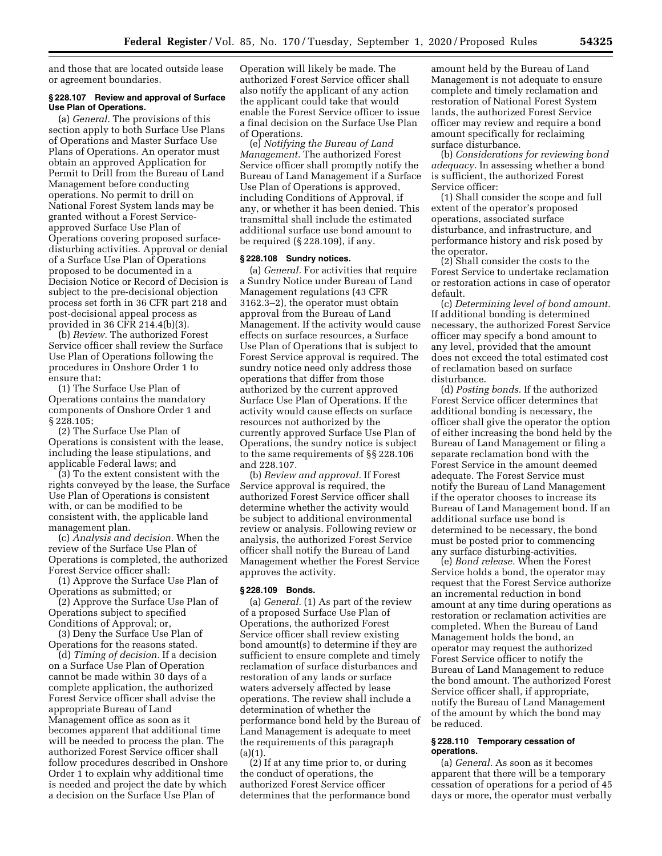and those that are located outside lease or agreement boundaries.

### **§ 228.107 Review and approval of Surface Use Plan of Operations.**

(a) *General.* The provisions of this section apply to both Surface Use Plans of Operations and Master Surface Use Plans of Operations. An operator must obtain an approved Application for Permit to Drill from the Bureau of Land Management before conducting operations. No permit to drill on National Forest System lands may be granted without a Forest Serviceapproved Surface Use Plan of Operations covering proposed surfacedisturbing activities. Approval or denial of a Surface Use Plan of Operations proposed to be documented in a Decision Notice or Record of Decision is subject to the pre-decisional objection process set forth in 36 CFR part 218 and post-decisional appeal process as provided in 36 CFR 214.4(b)(3).

(b) *Review.* The authorized Forest Service officer shall review the Surface Use Plan of Operations following the procedures in Onshore Order 1 to ensure that:

(1) The Surface Use Plan of Operations contains the mandatory components of Onshore Order 1 and § 228.105;

(2) The Surface Use Plan of Operations is consistent with the lease, including the lease stipulations, and applicable Federal laws; and

(3) To the extent consistent with the rights conveyed by the lease, the Surface Use Plan of Operations is consistent with, or can be modified to be consistent with, the applicable land management plan.

(c) *Analysis and decision.* When the review of the Surface Use Plan of Operations is completed, the authorized Forest Service officer shall:

(1) Approve the Surface Use Plan of Operations as submitted; or

(2) Approve the Surface Use Plan of Operations subject to specified Conditions of Approval; or,

(3) Deny the Surface Use Plan of Operations for the reasons stated.

(d) *Timing of decision.* If a decision on a Surface Use Plan of Operation cannot be made within 30 days of a complete application, the authorized Forest Service officer shall advise the appropriate Bureau of Land Management office as soon as it becomes apparent that additional time will be needed to process the plan. The authorized Forest Service officer shall follow procedures described in Onshore Order 1 to explain why additional time is needed and project the date by which a decision on the Surface Use Plan of

Operation will likely be made. The authorized Forest Service officer shall also notify the applicant of any action the applicant could take that would enable the Forest Service officer to issue a final decision on the Surface Use Plan of Operations.

(e) *Notifying the Bureau of Land Management.* The authorized Forest Service officer shall promptly notify the Bureau of Land Management if a Surface Use Plan of Operations is approved, including Conditions of Approval, if any, or whether it has been denied. This transmittal shall include the estimated additional surface use bond amount to be required (§ 228.109), if any.

#### **§ 228.108 Sundry notices.**

(a) *General.* For activities that require a Sundry Notice under Bureau of Land Management regulations (43 CFR 3162.3–2), the operator must obtain approval from the Bureau of Land Management. If the activity would cause effects on surface resources, a Surface Use Plan of Operations that is subject to Forest Service approval is required. The sundry notice need only address those operations that differ from those authorized by the current approved Surface Use Plan of Operations. If the activity would cause effects on surface resources not authorized by the currently approved Surface Use Plan of Operations, the sundry notice is subject to the same requirements of §§ 228.106 and 228.107.

(b) *Review and approval.* If Forest Service approval is required, the authorized Forest Service officer shall determine whether the activity would be subject to additional environmental review or analysis. Following review or analysis, the authorized Forest Service officer shall notify the Bureau of Land Management whether the Forest Service approves the activity.

#### **§ 228.109 Bonds.**

(a) *General.* (1) As part of the review of a proposed Surface Use Plan of Operations, the authorized Forest Service officer shall review existing bond amount(s) to determine if they are sufficient to ensure complete and timely reclamation of surface disturbances and restoration of any lands or surface waters adversely affected by lease operations. The review shall include a determination of whether the performance bond held by the Bureau of Land Management is adequate to meet the requirements of this paragraph  $(a)(1)$ .

(2) If at any time prior to, or during the conduct of operations, the authorized Forest Service officer determines that the performance bond

amount held by the Bureau of Land Management is not adequate to ensure complete and timely reclamation and restoration of National Forest System lands, the authorized Forest Service officer may review and require a bond amount specifically for reclaiming surface disturbance.

(b) *Considerations for reviewing bond adequacy.* In assessing whether a bond is sufficient, the authorized Forest Service officer:

(1) Shall consider the scope and full extent of the operator's proposed operations, associated surface disturbance, and infrastructure, and performance history and risk posed by the operator.

(2) Shall consider the costs to the Forest Service to undertake reclamation or restoration actions in case of operator default.

(c) *Determining level of bond amount.*  If additional bonding is determined necessary, the authorized Forest Service officer may specify a bond amount to any level, provided that the amount does not exceed the total estimated cost of reclamation based on surface disturbance.

(d) *Posting bonds.* If the authorized Forest Service officer determines that additional bonding is necessary, the officer shall give the operator the option of either increasing the bond held by the Bureau of Land Management or filing a separate reclamation bond with the Forest Service in the amount deemed adequate. The Forest Service must notify the Bureau of Land Management if the operator chooses to increase its Bureau of Land Management bond. If an additional surface use bond is determined to be necessary, the bond must be posted prior to commencing any surface disturbing-activities.

(e) *Bond release.* When the Forest Service holds a bond, the operator may request that the Forest Service authorize an incremental reduction in bond amount at any time during operations as restoration or reclamation activities are completed. When the Bureau of Land Management holds the bond, an operator may request the authorized Forest Service officer to notify the Bureau of Land Management to reduce the bond amount. The authorized Forest Service officer shall, if appropriate, notify the Bureau of Land Management of the amount by which the bond may be reduced.

### **§ 228.110 Temporary cessation of operations.**

(a) *General.* As soon as it becomes apparent that there will be a temporary cessation of operations for a period of 45 days or more, the operator must verbally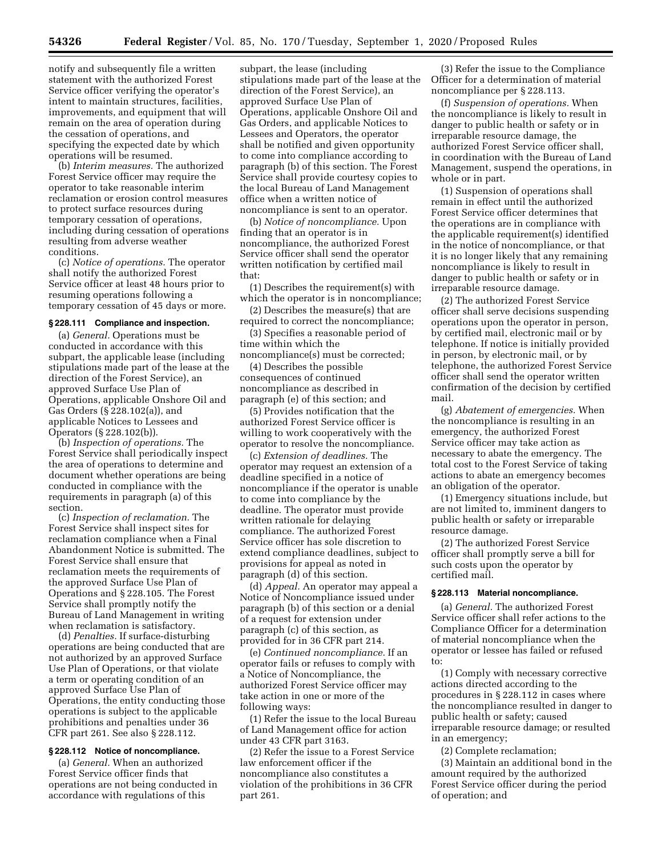notify and subsequently file a written statement with the authorized Forest Service officer verifying the operator's intent to maintain structures, facilities, improvements, and equipment that will remain on the area of operation during the cessation of operations, and specifying the expected date by which operations will be resumed.

(b) *Interim measures.* The authorized Forest Service officer may require the operator to take reasonable interim reclamation or erosion control measures to protect surface resources during temporary cessation of operations, including during cessation of operations resulting from adverse weather conditions.

(c) *Notice of operations.* The operator shall notify the authorized Forest Service officer at least 48 hours prior to resuming operations following a temporary cessation of 45 days or more.

### **§ 228.111 Compliance and inspection.**

(a) *General.* Operations must be conducted in accordance with this subpart, the applicable lease (including stipulations made part of the lease at the direction of the Forest Service), an approved Surface Use Plan of Operations, applicable Onshore Oil and Gas Orders (§ 228.102(a)), and applicable Notices to Lessees and Operators (§ 228.102(b)).

(b) *Inspection of operations.* The Forest Service shall periodically inspect the area of operations to determine and document whether operations are being conducted in compliance with the requirements in paragraph (a) of this section.

(c) *Inspection of reclamation.* The Forest Service shall inspect sites for reclamation compliance when a Final Abandonment Notice is submitted. The Forest Service shall ensure that reclamation meets the requirements of the approved Surface Use Plan of Operations and § 228.105. The Forest Service shall promptly notify the Bureau of Land Management in writing when reclamation is satisfactory.

(d) *Penalties.* If surface-disturbing operations are being conducted that are not authorized by an approved Surface Use Plan of Operations, or that violate a term or operating condition of an approved Surface Use Plan of Operations, the entity conducting those operations is subject to the applicable prohibitions and penalties under 36 CFR part 261. See also § 228.112.

## **§ 228.112 Notice of noncompliance.**

(a) *General.* When an authorized Forest Service officer finds that operations are not being conducted in accordance with regulations of this

subpart, the lease (including stipulations made part of the lease at the direction of the Forest Service), an approved Surface Use Plan of Operations, applicable Onshore Oil and Gas Orders, and applicable Notices to Lessees and Operators, the operator shall be notified and given opportunity to come into compliance according to paragraph (b) of this section. The Forest Service shall provide courtesy copies to the local Bureau of Land Management office when a written notice of noncompliance is sent to an operator.

(b) *Notice of noncompliance.* Upon finding that an operator is in noncompliance, the authorized Forest Service officer shall send the operator written notification by certified mail that:

(1) Describes the requirement(s) with which the operator is in noncompliance;

(2) Describes the measure(s) that are required to correct the noncompliance;

(3) Specifies a reasonable period of time within which the noncompliance(s) must be corrected;

(4) Describes the possible consequences of continued noncompliance as described in paragraph (e) of this section; and

(5) Provides notification that the authorized Forest Service officer is willing to work cooperatively with the operator to resolve the noncompliance.

(c) *Extension of deadlines.* The operator may request an extension of a deadline specified in a notice of noncompliance if the operator is unable to come into compliance by the deadline. The operator must provide written rationale for delaying compliance. The authorized Forest Service officer has sole discretion to extend compliance deadlines, subject to provisions for appeal as noted in paragraph (d) of this section.

(d) *Appeal.* An operator may appeal a Notice of Noncompliance issued under paragraph (b) of this section or a denial of a request for extension under paragraph (c) of this section, as provided for in 36 CFR part 214.

(e) *Continued noncompliance.* If an operator fails or refuses to comply with a Notice of Noncompliance, the authorized Forest Service officer may take action in one or more of the following ways:

(1) Refer the issue to the local Bureau of Land Management office for action under 43 CFR part 3163.

(2) Refer the issue to a Forest Service law enforcement officer if the noncompliance also constitutes a violation of the prohibitions in 36 CFR part 261.

(3) Refer the issue to the Compliance Officer for a determination of material noncompliance per § 228.113.

(f) *Suspension of operations.* When the noncompliance is likely to result in danger to public health or safety or in irreparable resource damage, the authorized Forest Service officer shall, in coordination with the Bureau of Land Management, suspend the operations, in whole or in part.

(1) Suspension of operations shall remain in effect until the authorized Forest Service officer determines that the operations are in compliance with the applicable requirement(s) identified in the notice of noncompliance, or that it is no longer likely that any remaining noncompliance is likely to result in danger to public health or safety or in irreparable resource damage.

(2) The authorized Forest Service officer shall serve decisions suspending operations upon the operator in person, by certified mail, electronic mail or by telephone. If notice is initially provided in person, by electronic mail, or by telephone, the authorized Forest Service officer shall send the operator written confirmation of the decision by certified mail.

(g) *Abatement of emergencies.* When the noncompliance is resulting in an emergency, the authorized Forest Service officer may take action as necessary to abate the emergency. The total cost to the Forest Service of taking actions to abate an emergency becomes an obligation of the operator.

(1) Emergency situations include, but are not limited to, imminent dangers to public health or safety or irreparable resource damage.

(2) The authorized Forest Service officer shall promptly serve a bill for such costs upon the operator by certified mail.

### **§ 228.113 Material noncompliance.**

(a) *General.* The authorized Forest Service officer shall refer actions to the Compliance Officer for a determination of material noncompliance when the operator or lessee has failed or refused to:

(1) Comply with necessary corrective actions directed according to the procedures in § 228.112 in cases where the noncompliance resulted in danger to public health or safety; caused irreparable resource damage; or resulted in an emergency;

(2) Complete reclamation;

(3) Maintain an additional bond in the amount required by the authorized Forest Service officer during the period of operation; and